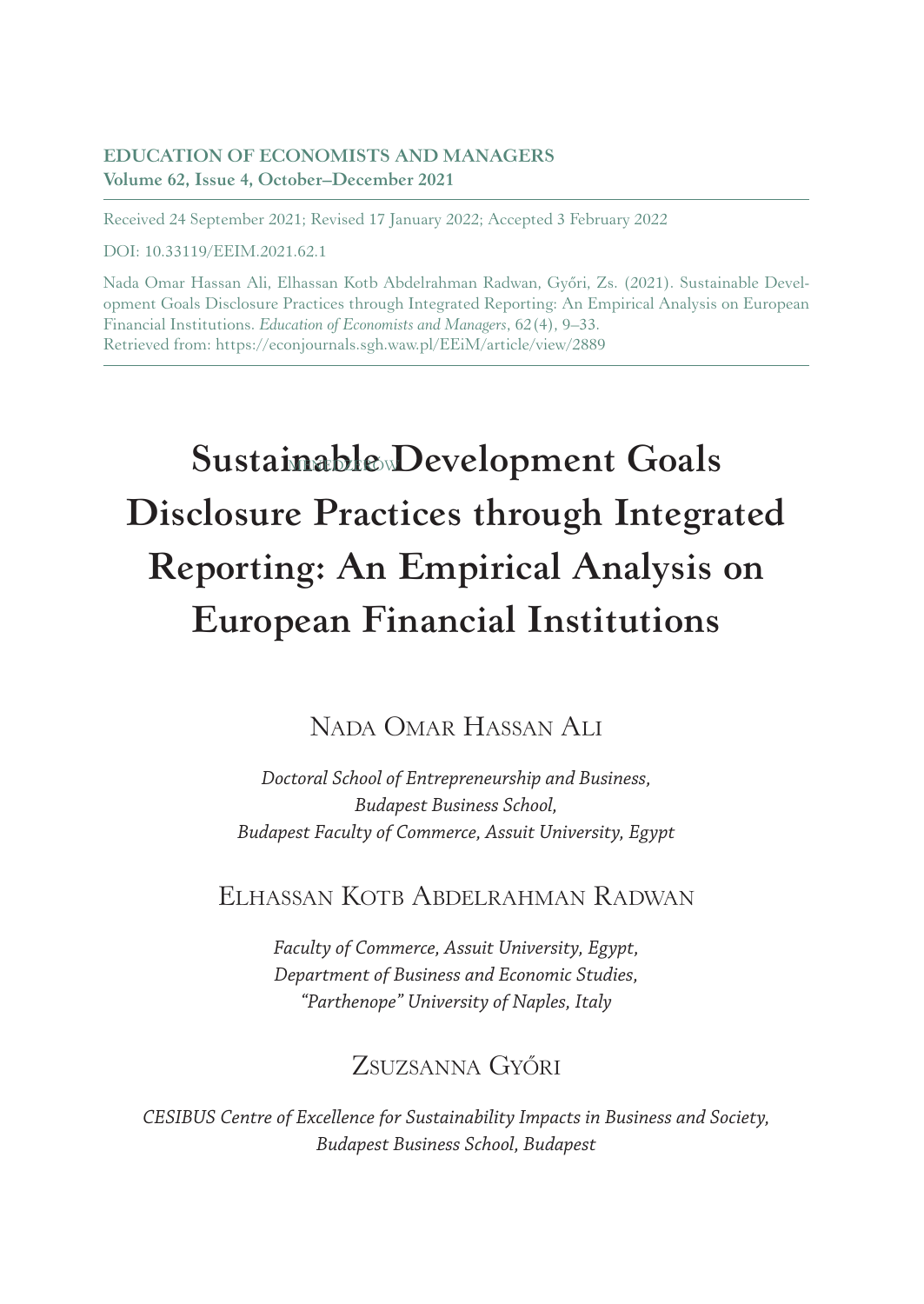#### **EDUCATION OF ECONOMISTS AND MANAGERS Volume 62, Issue 4, October–December 2021**

Received 24 September 2021; Revised 17 January 2022; Accepted 3 February 2022

DOI: 10.33119/EEIM.2021.62.1

Nada Omar Hassan Ali, Elhassan Kotb Abdelrahman Radwan, Győri, Zs. (2021). Sustainable Development Goals Disclosure Practices through Integrated Reporting: An Empirical Analysis on European Financial Institutions. *Education of Economists and Managers*, 62(4), 9–33. Retrieved from: https://econjournals.sgh.waw.pl/EEiM/article/view/2889

# **Sustainable Development Goals Disclosure Practices through Integrated Reporting: An Empirical Analysis on European Financial Institutions**

# Nada Omar Hassan Ali

*Doctoral School of Entrepreneurship and Business, Budapest Business School, Budapest Faculty of Commerce, Assuit University, Egypt*

# Elhassan Kotb Abdelrahman Radwan

*Faculty of Commerce, Assuit University, Egypt, Department of Business and Economic Studies, "Parthenope" University of Naples, Italy*

# Zsuzsanna Győri

*CESIBUS Centre of Excellence for Sustainability Impacts in Business and Society, Budapest Business School, Budapest*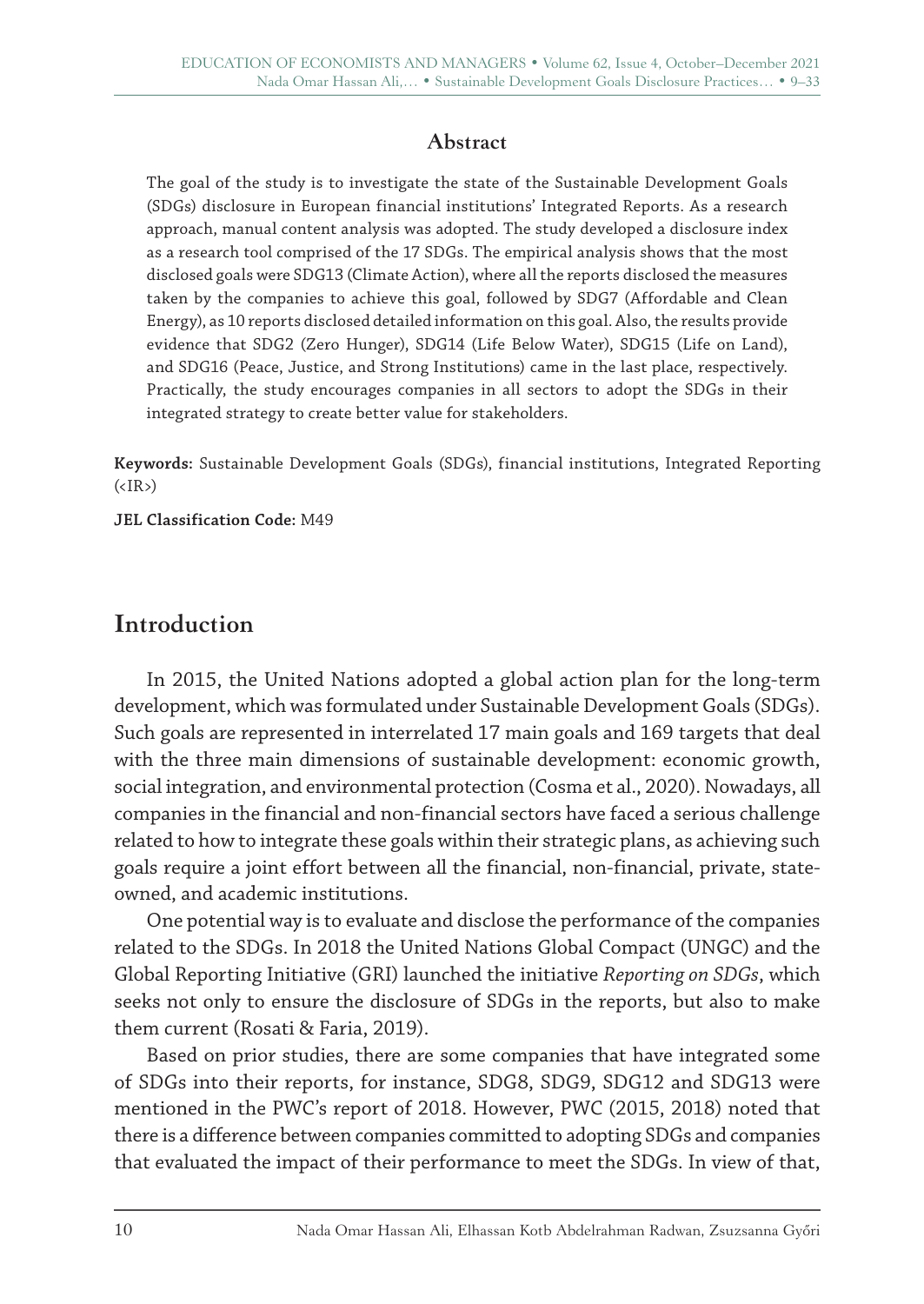### **Abstract**

The goal of the study is to investigate the state of the Sustainable Development Goals (SDGs) disclosure in European financial institutions' Integrated Reports. As a research approach, manual content analysis was adopted. The study developed a disclosure index as a research tool comprised of the 17 SDGs. The empirical analysis shows that the most disclosed goals were SDG13 (Climate Action), where all the reports disclosed the measures taken by the companies to achieve this goal, followed by SDG7 (Affordable and Clean Energy), as 10 reports disclosed detailed information on this goal. Also, the results provide evidence that SDG2 (Zero Hunger), SDG14 (Life Below Water), SDG15 (Life on Land), and SDG16 (Peace, Justice, and Strong Institutions) came in the last place, respectively. Practically, the study encourages companies in all sectors to adopt the SDGs in their integrated strategy to create better value for stakeholders.

**Keywords:** Sustainable Development Goals (SDGs), financial institutions, Integrated Reporting  $(\langle IR \rangle)$ 

**JEL Classification Code:** M49

# **Introduction**

In 2015, the United Nations adopted a global action plan for the long-term development, which was formulated under Sustainable Development Goals (SDGs). Such goals are represented in interrelated 17 main goals and 169 targets that deal with the three main dimensions of sustainable development: economic growth, social integration, and environmental protection (Cosma et al., 2020). Nowadays, all companies in the financial and non-financial sectors have faced a serious challenge related to how to integrate these goals within their strategic plans, as achieving such goals require a joint effort between all the financial, non-financial, private, stateowned, and academic institutions.

One potential way is to evaluate and disclose the performance of the companies related to the SDGs. In 2018 the United Nations Global Compact (UNGC) and the Global Reporting Initiative (GRI) launched the initiative *Reporting on SDGs*, which seeks not only to ensure the disclosure of SDGs in the reports, but also to make them current (Rosati & Faria, 2019).

Based on prior studies, there are some companies that have integrated some of SDGs into their reports, for instance, SDG8, SDG9, SDG12 and SDG13 were mentioned in the PWC's report of 2018. However, PWC (2015, 2018) noted that there is a difference between companies committed to adopting SDGs and companies that evaluated the impact of their performance to meet the SDGs. In view of that,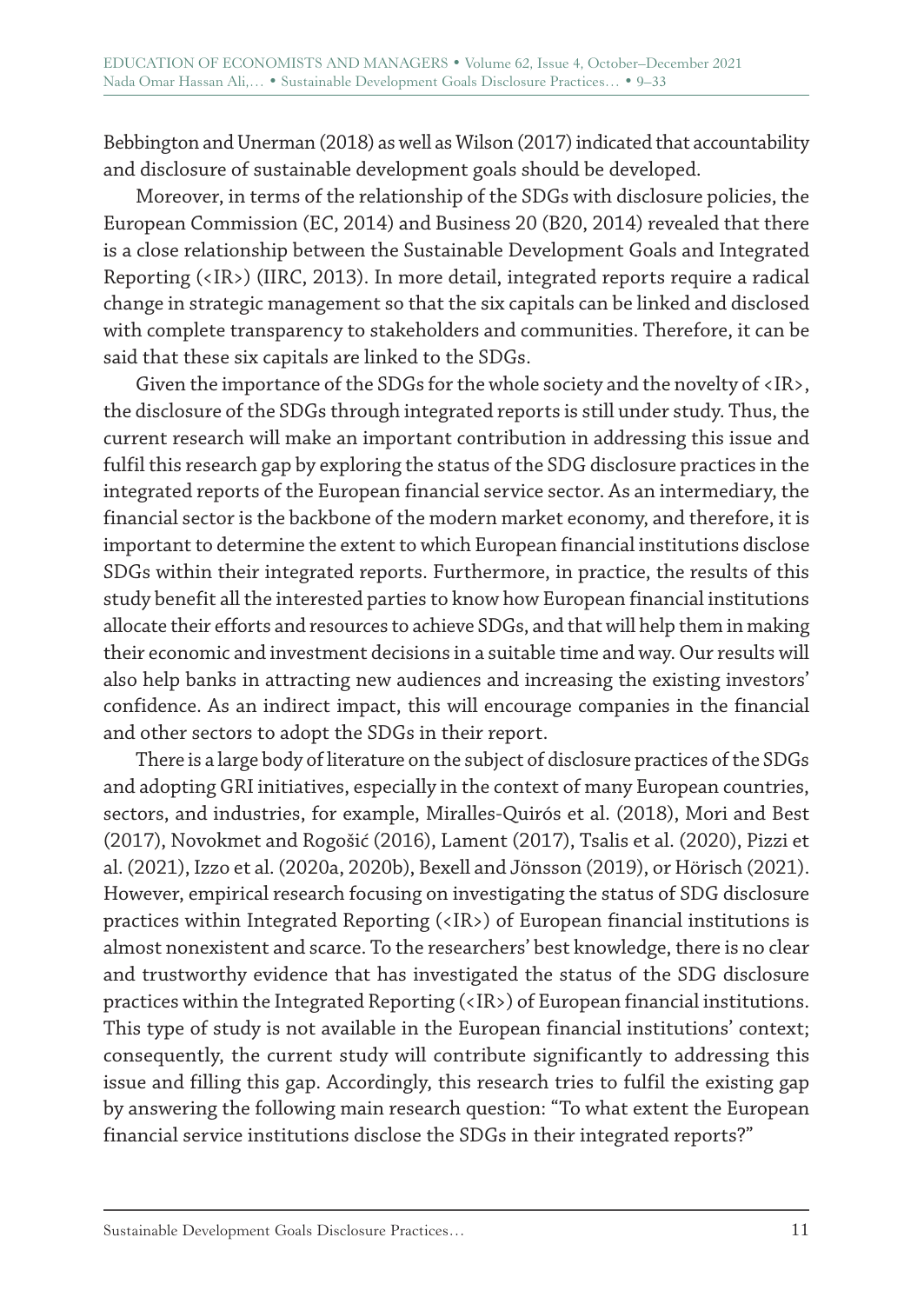Bebbington and Unerman (2018) as well as Wilson (2017) indicated that accountability and disclosure of sustainable development goals should be developed.

Moreover, in terms of the relationship of the SDGs with disclosure policies, the European Commission (EC, 2014) and Business 20 (B20, 2014) revealed that there is a close relationship between the Sustainable Development Goals and Integrated Reporting (<IR>) (IIRC, 2013). In more detail, integrated reports require a radical change in strategic management so that the six capitals can be linked and disclosed with complete transparency to stakeholders and communities. Therefore, it can be said that these six capitals are linked to the SDGs.

Given the importance of the SDGs for the whole society and the novelty of <IR>, the disclosure of the SDGs through integrated reports is still under study. Thus, the current research will make an important contribution in addressing this issue and fulfil this research gap by exploring the status of the SDG disclosure practices in the integrated reports of the European financial service sector. As an intermediary, the financial sector is the backbone of the modern market economy, and therefore, it is important to determine the extent to which European financial institutions disclose SDGs within their integrated reports. Furthermore, in practice, the results of this study benefit all the interested parties to know how European financial institutions allocate their efforts and resources to achieve SDGs, and that will help them in making their economic and investment decisions in a suitable time and way. Our results will also help banks in attracting new audiences and increasing the existing investors' confidence. As an indirect impact, this will encourage companies in the financial and other sectors to adopt the SDGs in their report.

There is a large body of literature on the subject of disclosure practices of the SDGs and adopting GRI initiatives, especially in the context of many European countries, sectors, and industries, for example, Miralles-Quirós et al. (2018), Mori and Best (2017), Novokmet and Rogošić (2016), Lament (2017), Tsalis et al. (2020), Pizzi et al. (2021), Izzo et al. (2020a, 2020b), Bexell and Jönsson (2019), or Hörisch (2021). However, empirical research focusing on investigating the status of SDG disclosure practices within Integrated Reporting (<IR>) of European financial institutions is almost nonexistent and scarce. To the researchers' best knowledge, there is no clear and trustworthy evidence that has investigated the status of the SDG disclosure practices within the Integrated Reporting (<IR>) of European financial institutions. This type of study is not available in the European financial institutions' context; consequently, the current study will contribute significantly to addressing this issue and filling this gap. Accordingly, this research tries to fulfil the existing gap by answering the following main research question: "To what extent the European financial service institutions disclose the SDGs in their integrated reports?"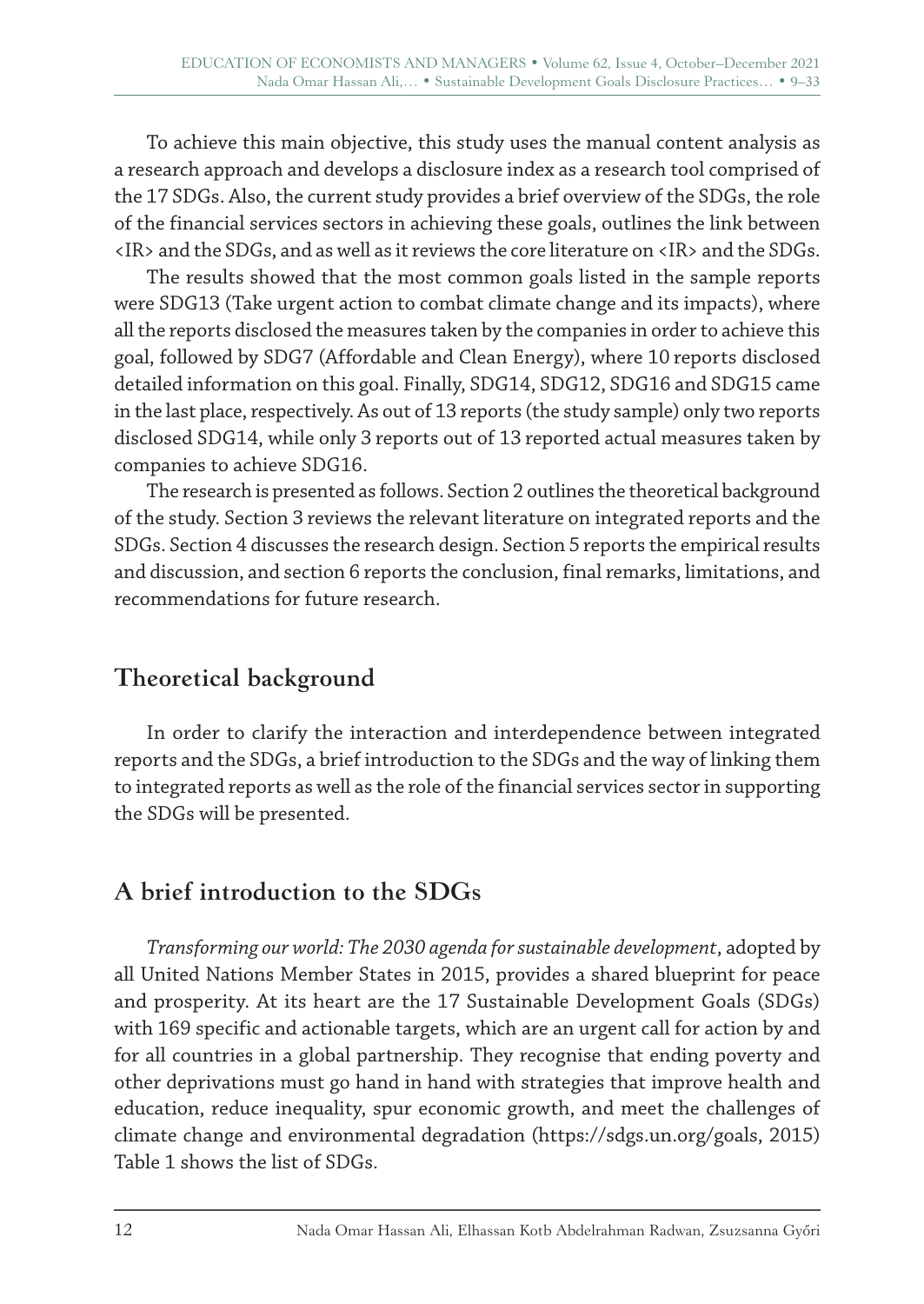To achieve this main objective, this study uses the manual content analysis as a research approach and develops a disclosure index as a research tool comprised of the 17 SDGs. Also, the current study provides a brief overview of the SDGs, the role of the financial services sectors in achieving these goals, outlines the link between <IR> and the SDGs, and as well as it reviews the core literature on <IR> and the SDGs.

The results showed that the most common goals listed in the sample reports were SDG13 (Take urgent action to combat climate change and its impacts), where all the reports disclosed the measures taken by the companies in order to achieve this goal, followed by SDG7 (Affordable and Clean Energy), where 10 reports disclosed detailed information on this goal. Finally, SDG14, SDG12, SDG16 and SDG15 came in the last place, respectively. As out of 13 reports (the study sample) only two reports disclosed SDG14, while only 3 reports out of 13 reported actual measures taken by companies to achieve SDG16.

The research is presented as follows. Section 2 outlines the theoretical background of the study. Section 3 reviews the relevant literature on integrated reports and the SDGs. Section 4 discusses the research design. Section 5 reports the empirical results and discussion, and section 6 reports the conclusion, final remarks, limitations, and recommendations for future research.

# **Theoretical background**

In order to clarify the interaction and interdependence between integrated reports and the SDGs, a brief introduction to the SDGs and the way of linking them to integrated reports as well as the role of the financial services sector in supporting the SDGs will be presented.

# **A brief introduction to the SDGs**

*Transforming our world: The 2030 agenda for sustainable development*, adopted by all United Nations Member States in 2015, provides a shared blueprint for peace and prosperity. At its heart are the 17 Sustainable Development Goals (SDGs) with 169 specific and actionable targets, which are an urgent call for action by and for all countries in a global partnership. They recognise that ending poverty and other deprivations must go hand in hand with strategies that improve health and education, reduce inequality, spur economic growth, and meet the challenges of climate change and environmental degradation (https://sdgs.un.org/goals, 2015) Table 1 shows the list of SDGs.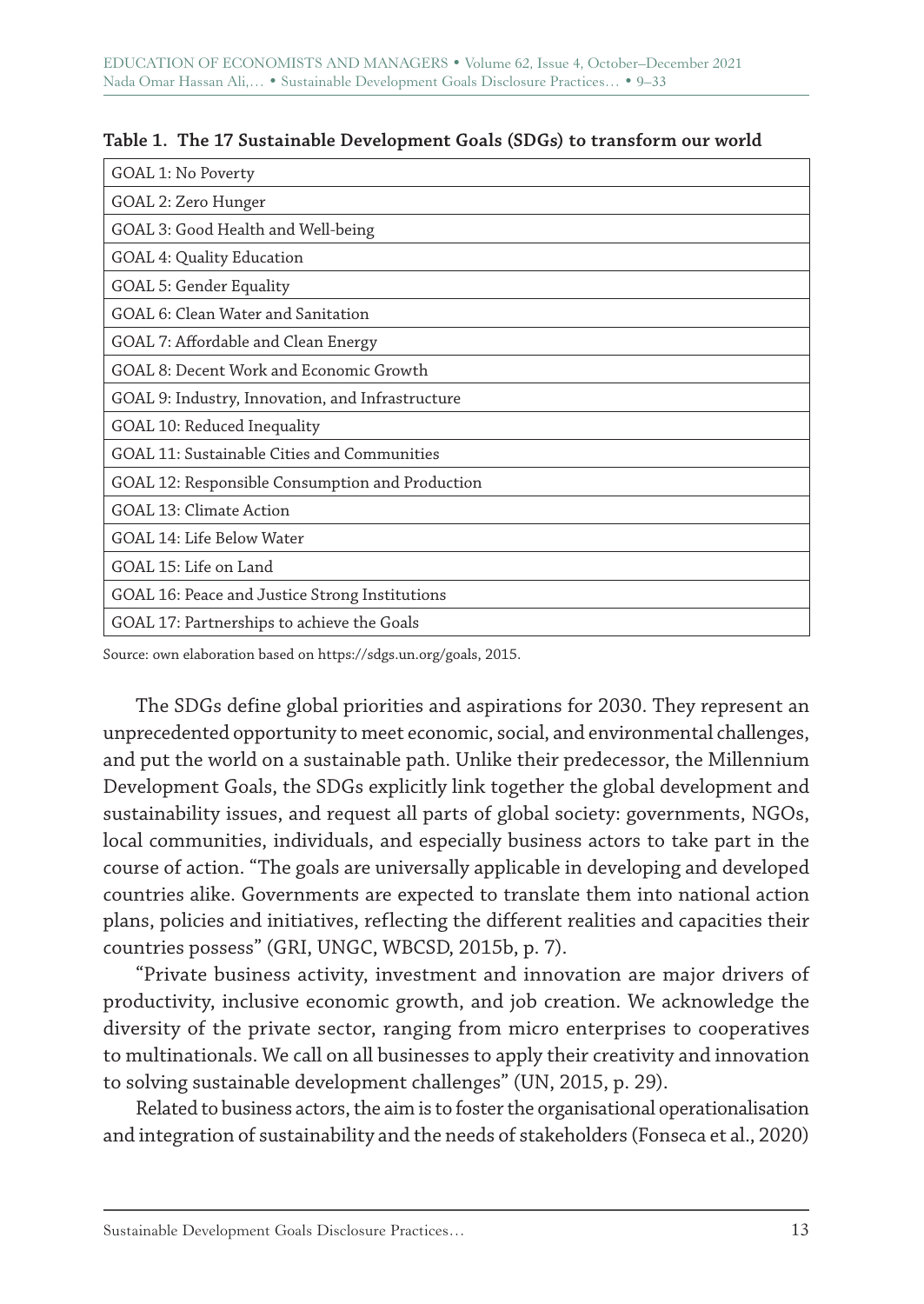| GOAL 1: No Poverty                               |
|--------------------------------------------------|
| GOAL 2: Zero Hunger                              |
| GOAL 3: Good Health and Well-being               |
| GOAL 4: Quality Education                        |
| GOAL 5: Gender Equality                          |
| GOAL 6: Clean Water and Sanitation               |
| GOAL 7: Affordable and Clean Energy              |
| GOAL 8: Decent Work and Economic Growth          |
| GOAL 9: Industry, Innovation, and Infrastructure |
| GOAL 10: Reduced Inequality                      |
| GOAL 11: Sustainable Cities and Communities      |
| GOAL 12: Responsible Consumption and Production  |
| GOAL 13: Climate Action                          |
| GOAL 14: Life Below Water                        |
| GOAL 15: Life on Land                            |
| GOAL 16: Peace and Justice Strong Institutions   |
| GOAL 17: Partnerships to achieve the Goals       |

#### **Table 1. The 17 Sustainable Development Goals (SDGs) to transform our world**

Source: own elaboration based on https://sdgs.un.org/goals, 2015.

The SDGs define global priorities and aspirations for 2030. They represent an unprecedented opportunity to meet economic, social, and environmental challenges, and put the world on a sustainable path. Unlike their predecessor, the Millennium Development Goals, the SDGs explicitly link together the global development and sustainability issues, and request all parts of global society: governments, NGOs, local communities, individuals, and especially business actors to take part in the course of action. "The goals are universally applicable in developing and developed countries alike. Governments are expected to translate them into national action plans, policies and initiatives, reflecting the different realities and capacities their countries possess" (GRI, UNGC, WBCSD, 2015b, p. 7).

"Private business activity, investment and innovation are major drivers of productivity, inclusive economic growth, and job creation. We acknowledge the diversity of the private sector, ranging from micro enterprises to cooperatives to multinationals. We call on all businesses to apply their creativity and innovation to solving sustainable development challenges" (UN, 2015, p. 29).

Related to business actors, the aim is to foster the organisational operationalisation and integration of sustainability and the needs of stakeholders (Fonseca et al., 2020)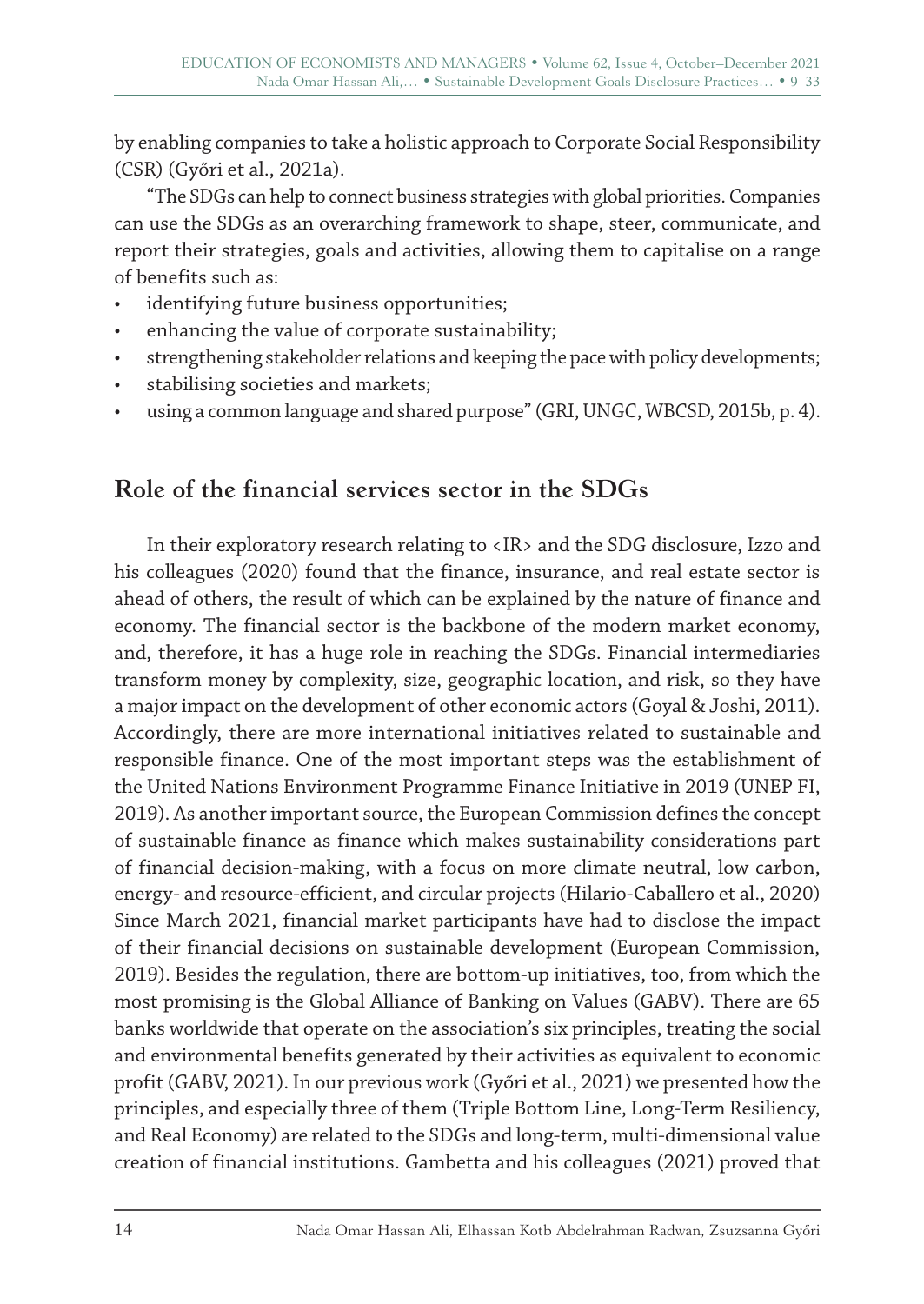by enabling companies to take a holistic approach to Corporate Social Responsibility (CSR) (Győri et al., 2021a).

"The SDGs can help to connect business strategies with global priorities. Companies can use the SDGs as an overarching framework to shape, steer, communicate, and report their strategies, goals and activities, allowing them to capitalise on a range of benefits such as:

- identifying future business opportunities;
- enhancing the value of corporate sustainability;
- strengthening stakeholder relations and keeping the pace with policy developments;
- stabilising societies and markets;
- using a common language and shared purpose" (GRI, UNGC, WBCSD, 2015b, p. 4).

# **Role of the financial services sector in the SDGs**

In their exploratory research relating to <IR> and the SDG disclosure, Izzo and his colleagues (2020) found that the finance, insurance, and real estate sector is ahead of others, the result of which can be explained by the nature of finance and economy. The financial sector is the backbone of the modern market economy, and, therefore, it has a huge role in reaching the SDGs. Financial intermediaries transform money by complexity, size, geographic location, and risk, so they have a major impact on the development of other economic actors (Goyal & Joshi, 2011). Accordingly, there are more international initiatives related to sustainable and responsible finance. One of the most important steps was the establishment of the United Nations Environment Programme Finance Initiative in 2019 (UNEP FI, 2019). As another important source, the European Commission defines the concept of sustainable finance as finance which makes sustainability considerations part of financial decision-making, with a focus on more climate neutral, low carbon, energy- and resource-efficient, and circular projects (Hilario-Caballero et al., 2020) Since March 2021, financial market participants have had to disclose the impact of their financial decisions on sustainable development (European Commission, 2019). Besides the regulation, there are bottom-up initiatives, too, from which the most promising is the Global Alliance of Banking on Values (GABV). There are 65 banks worldwide that operate on the association's six principles, treating the social and environmental benefits generated by their activities as equivalent to economic profit (GABV, 2021). In our previous work (Győri et al., 2021) we presented how the principles, and especially three of them (Triple Bottom Line, Long-Term Resiliency, and Real Economy) are related to the SDGs and long-term, multi-dimensional value creation of financial institutions. Gambetta and his colleagues (2021) proved that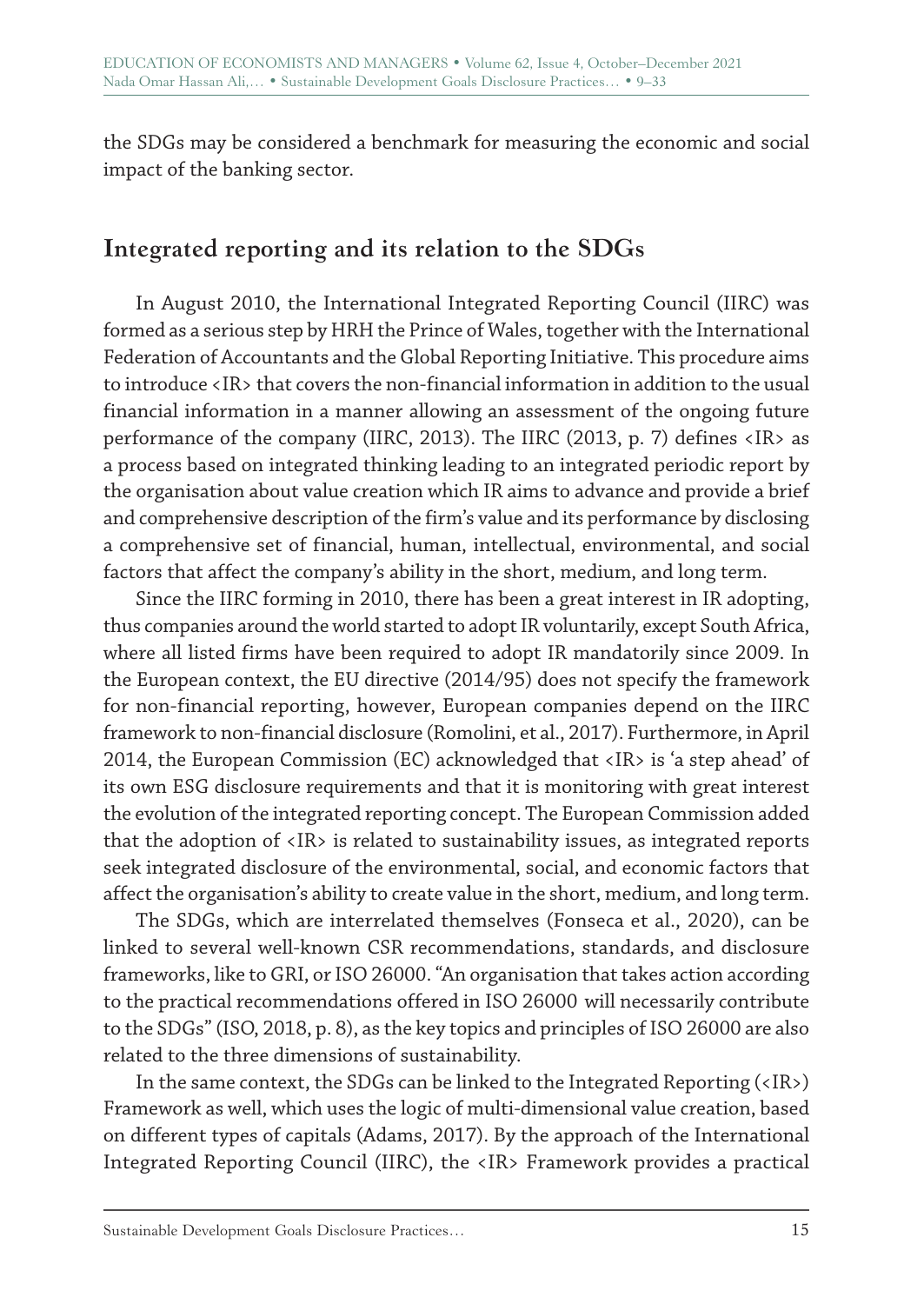the SDGs may be considered a benchmark for measuring the economic and social impact of the banking sector.

# **Integrated reporting and its relation to the SDGs**

In August 2010, the International Integrated Reporting Council (IIRC) was formed as a serious step by HRH the Prince of Wales, together with the International Federation of Accountants and the Global Reporting Initiative. This procedure aims to introduce <IR> that covers the non-financial information in addition to the usual financial information in a manner allowing an assessment of the ongoing future performance of the company (IIRC, 2013). The IIRC (2013, p. 7) defines <IR> as a process based on integrated thinking leading to an integrated periodic report by the organisation about value creation which IR aims to advance and provide a brief and comprehensive description of the firm's value and its performance by disclosing a comprehensive set of financial, human, intellectual, environmental, and social factors that affect the company's ability in the short, medium, and long term.

Since the IIRC forming in 2010, there has been a great interest in IR adopting, thus companies around the world started to adopt IR voluntarily, except South Africa, where all listed firms have been required to adopt IR mandatorily since 2009. In the European context, the EU directive (2014/95) does not specify the framework for non-financial reporting, however, European companies depend on the IIRC framework to non-financial disclosure (Romolini, et al., 2017). Furthermore, in April 2014, the European Commission (EC) acknowledged that <IR> is 'a step ahead' of its own ESG disclosure requirements and that it is monitoring with great interest the evolution of the integrated reporting concept. The European Commission added that the adoption of <IR> is related to sustainability issues, as integrated reports seek integrated disclosure of the environmental, social, and economic factors that affect the organisation's ability to create value in the short, medium, and long term.

The SDGs, which are interrelated themselves (Fonseca et al., 2020), can be linked to several well-known CSR recommendations, standards, and disclosure frameworks, like to GRI, or ISO 26000. "An organisation that takes action according to the practical recommendations offered in ISO 26000 will necessarily contribute to the SDGs" (ISO, 2018, p. 8), as the key topics and principles of ISO 26000 are also related to the three dimensions of sustainability.

In the same context, the SDGs can be linked to the Integrated Reporting (<IR>) Framework as well, which uses the logic of multi-dimensional value creation, based on different types of capitals (Adams, 2017). By the approach of the International Integrated Reporting Council (IIRC), the <IR> Framework provides a practical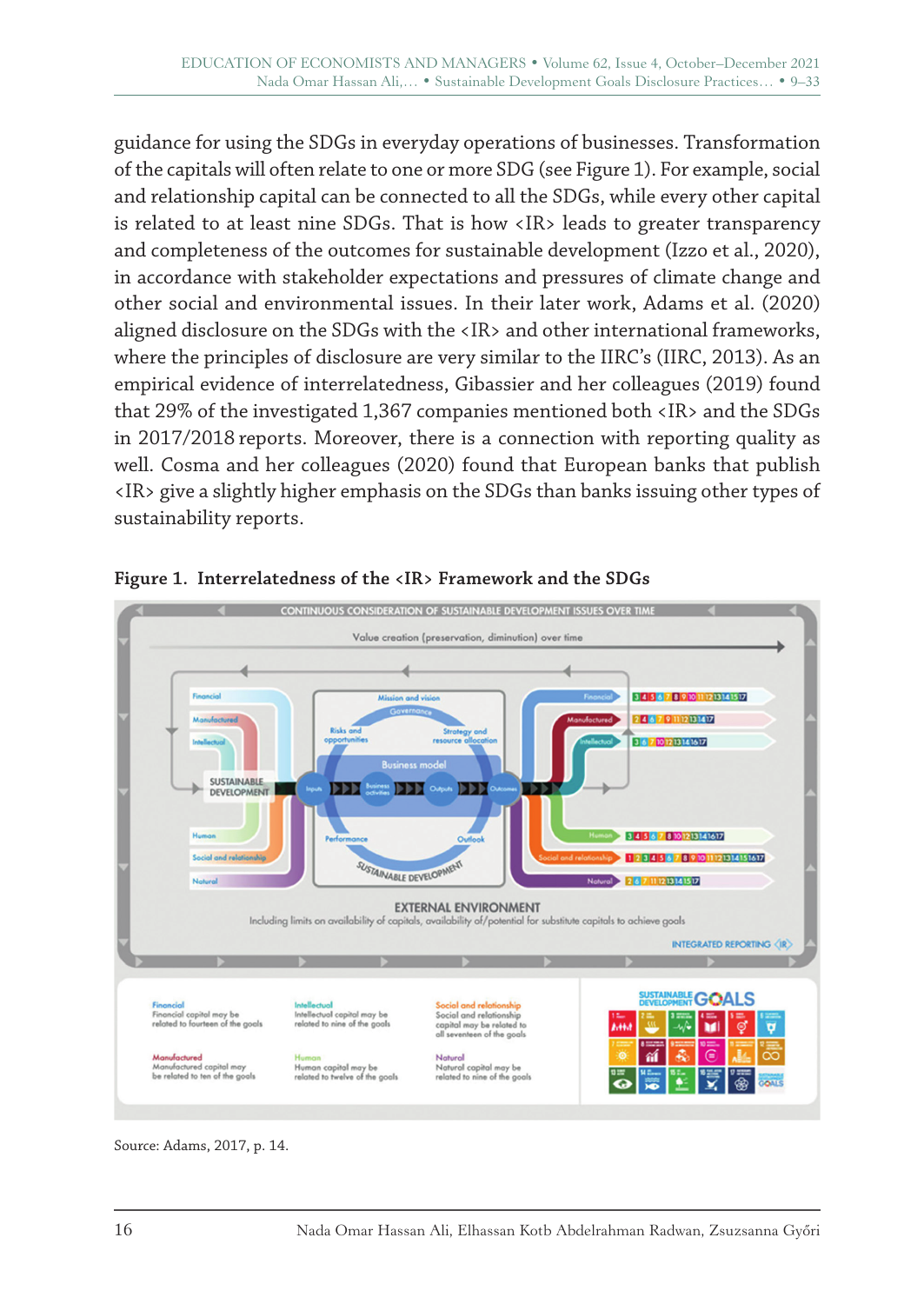guidance for using the SDGs in everyday operations of businesses. Transformation of the capitals will often relate to one or more SDG (see Figure 1). For example, social and relationship capital can be connected to all the SDGs, while every other capital is related to at least nine SDGs. That is how <IR> leads to greater transparency and completeness of the outcomes for sustainable development (Izzo et al., 2020), in accordance with stakeholder expectations and pressures of climate change and other social and environmental issues. In their later work, Adams et al. (2020) aligned disclosure on the SDGs with the <IR> and other international frameworks, where the principles of disclosure are very similar to the IIRC's (IIRC, 2013). As an empirical evidence of interrelatedness, Gibassier and her colleagues (2019) found that 29% of the investigated 1,367 companies mentioned both <IR> and the SDGs in 2017/2018 reports. Moreover, there is a connection with reporting quality as well. Cosma and her colleagues (2020) found that European banks that publish <IR> give a slightly higher emphasis on the SDGs than banks issuing other types of sustainability reports.



#### **Figure 1. Interrelatedness of the <IR> Framework and the SDGs**

Source: Adams, 2017, p. 14.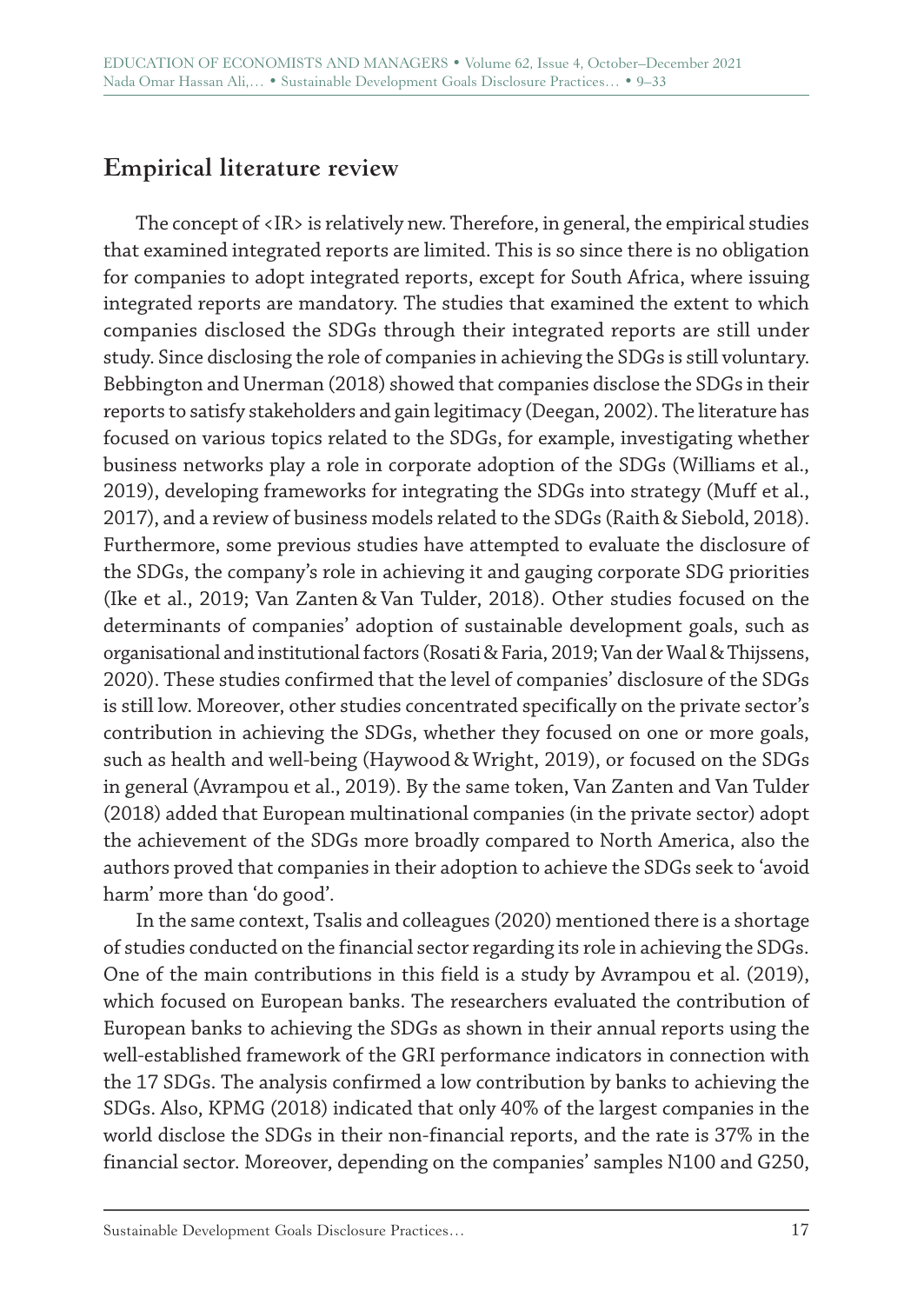# **Empirical literature review**

The concept of  $\langle IR \rangle$  is relatively new. Therefore, in general, the empirical studies that examined integrated reports are limited. This is so since there is no obligation for companies to adopt integrated reports, except for South Africa, where issuing integrated reports are mandatory. The studies that examined the extent to which companies disclosed the SDGs through their integrated reports are still under study. Since disclosing the role of companies in achieving the SDGs is still voluntary. Bebbington and Unerman (2018) showed that companies disclose the SDGs in their reports to satisfy stakeholders and gain legitimacy (Deegan, 2002). The literature has focused on various topics related to the SDGs, for example, investigating whether business networks play a role in corporate adoption of the SDGs (Williams et al., 2019), developing frameworks for integrating the SDGs into strategy (Muff et al., 2017), and a review of business models related to the SDGs (Raith & Siebold, 2018). Furthermore, some previous studies have attempted to evaluate the disclosure of the SDGs, the company's role in achieving it and gauging corporate SDG priorities (Ike et al., 2019; Van Zanten & Van Tulder, 2018). Other studies focused on the determinants of companies' adoption of sustainable development goals, such as organisational and institutional factors (Rosati& Faria, 2019; Van der Waal & Thijssens, 2020). These studies confirmed that the level of companies' disclosure of the SDGs is still low. Moreover, other studies concentrated specifically on the private sector's contribution in achieving the SDGs, whether they focused on one or more goals, such as health and well-being (Haywood & Wright, 2019), or focused on the SDGs in general (Avrampou et al., 2019). By the same token, Van Zanten and Van Tulder (2018) added that European multinational companies (in the private sector) adopt the achievement of the SDGs more broadly compared to North America, also the authors proved that companies in their adoption to achieve the SDGs seek to 'avoid harm' more than 'do good'.

In the same context, Tsalis and colleagues (2020) mentioned there is a shortage of studies conducted on the financial sector regarding its role in achieving the SDGs. One of the main contributions in this field is a study by Avrampou et al. (2019), which focused on European banks. The researchers evaluated the contribution of European banks to achieving the SDGs as shown in their annual reports using the well-established framework of the GRI performance indicators in connection with the 17 SDGs. The analysis confirmed a low contribution by banks to achieving the SDGs. Also, KPMG (2018) indicated that only 40% of the largest companies in the world disclose the SDGs in their non-financial reports, and the rate is 37% in the financial sector. Moreover, depending on the companies' samples N100 and G250,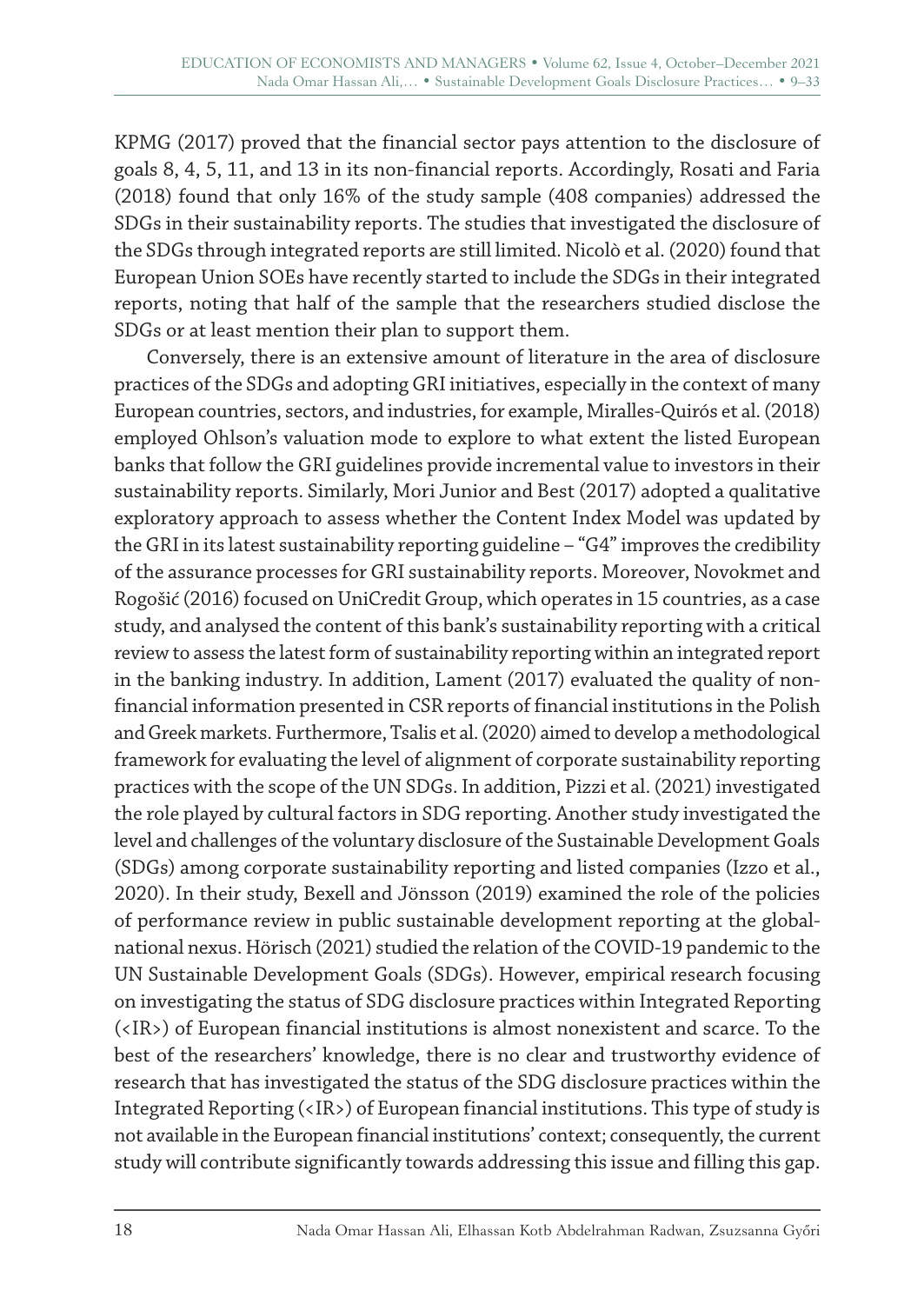KPMG (2017) proved that the financial sector pays attention to the disclosure of goals 8, 4, 5, 11, and 13 in its non-financial reports. Accordingly, Rosati and Faria (2018) found that only 16% of the study sample (408 companies) addressed the SDGs in their sustainability reports. The studies that investigated the disclosure of the SDGs through integrated reports are still limited. Nicolò et al. (2020) found that European Union SOEs have recently started to include the SDGs in their integrated reports, noting that half of the sample that the researchers studied disclose the SDGs or at least mention their plan to support them.

Conversely, there is an extensive amount of literature in the area of disclosure practices of the SDGs and adopting GRI initiatives, especially in the context of many European countries, sectors, and industries, for example, Miralles-Quirós et al. (2018) employed Ohlson's valuation mode to explore to what extent the listed European banks that follow the GRI guidelines provide incremental value to investors in their sustainability reports. Similarly, Mori Junior and Best (2017) adopted a qualitative exploratory approach to assess whether the Content Index Model was updated by the GRI in its latest sustainability reporting guideline – "G4" improves the credibility of the assurance processes for GRI sustainability reports. Moreover, Novokmet and Rogošić (2016) focused on UniCredit Group, which operates in 15 countries, as a case study, and analysed the content of this bank's sustainability reporting with a critical review to assess the latest form of sustainability reporting within an integrated report in the banking industry. In addition, Lament (2017) evaluated the quality of nonfinancial information presented in CSR reports of financial institutions in the Polish and Greek markets. Furthermore, Tsalis et al. (2020) aimed to develop a methodological framework for evaluating the level of alignment of corporate sustainability reporting practices with the scope of the UN SDGs. In addition, Pizzi et al. (2021) investigated the role played by cultural factors in SDG reporting. Another study investigated the level and challenges of the voluntary disclosure of the Sustainable Development Goals (SDGs) among corporate sustainability reporting and listed companies (Izzo et al., 2020). In their study, Bexell and Jönsson (2019) examined the role of the policies of performance review in public sustainable development reporting at the globalnational nexus. Hörisch (2021) studied the relation of the COVID-19 pandemic to the UN Sustainable Development Goals (SDGs). However, empirical research focusing on investigating the status of SDG disclosure practices within Integrated Reporting (<IR>) of European financial institutions is almost nonexistent and scarce. To the best of the researchers' knowledge, there is no clear and trustworthy evidence of research that has investigated the status of the SDG disclosure practices within the Integrated Reporting (<IR>) of European financial institutions. This type of study is not available in the European financial institutions' context; consequently, the current study will contribute significantly towards addressing this issue and filling this gap.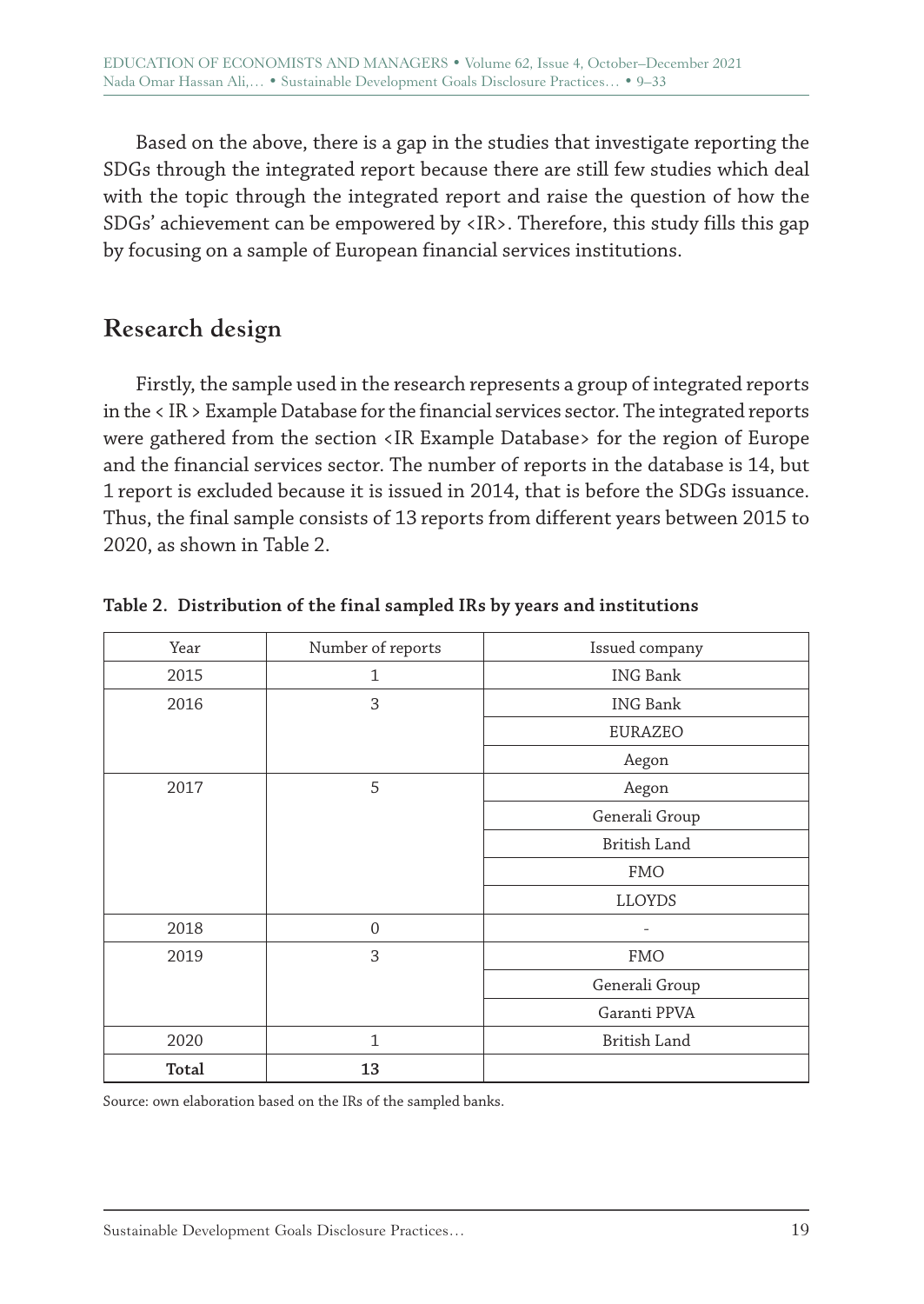Based on the above, there is a gap in the studies that investigate reporting the SDGs through the integrated report because there are still few studies which deal with the topic through the integrated report and raise the question of how the SDGs' achievement can be empowered by <IR>. Therefore, this study fills this gap by focusing on a sample of European financial services institutions.

# **Research design**

Firstly, the sample used in the research represents a group of integrated reports in the < IR > Example Database for the financial services sector. The integrated reports were gathered from the section <IR Example Database> for the region of Europe and the financial services sector. The number of reports in the database is 14, but 1 report is excluded because it is issued in 2014, that is before the SDGs issuance. Thus, the final sample consists of 13 reports from different years between 2015 to 2020, as shown in Table 2.

| Year  | Number of reports | Issued company  |  |  |
|-------|-------------------|-----------------|--|--|
| 2015  | $\mathbf{1}$      | <b>ING Bank</b> |  |  |
| 2016  | 3                 | <b>ING Bank</b> |  |  |
|       |                   | EURAZEO         |  |  |
|       |                   | Aegon           |  |  |
| 2017  | 5                 | Aegon           |  |  |
|       |                   | Generali Group  |  |  |
|       |                   | British Land    |  |  |
|       |                   | <b>FMO</b>      |  |  |
|       |                   | LLOYDS          |  |  |
| 2018  | $\mathbf{0}$      |                 |  |  |
| 2019  | 3                 | <b>FMO</b>      |  |  |
|       |                   | Generali Group  |  |  |
|       |                   | Garanti PPVA    |  |  |
| 2020  | $\mathbf{1}$      | British Land    |  |  |
| Total | 13                |                 |  |  |

**Table 2. Distribution of the final sampled IRs by years and institutions**

Source: own elaboration based on the IRs of the sampled banks.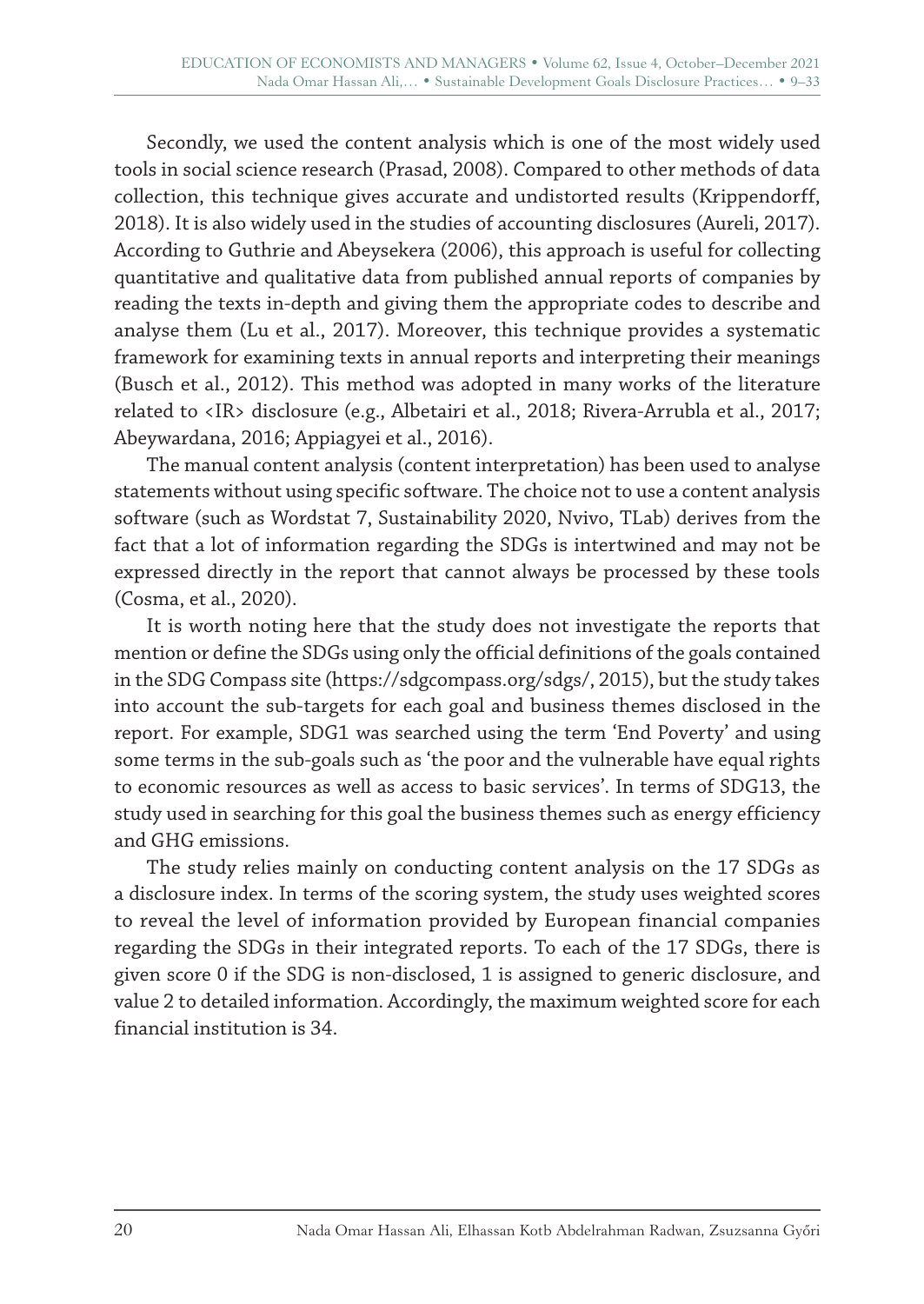Secondly, we used the content analysis which is one of the most widely used tools in social science research (Prasad, 2008). Compared to other methods of data collection, this technique gives accurate and undistorted results (Krippendorff, 2018). It is also widely used in the studies of accounting disclosures (Aureli, 2017). According to Guthrie and Abeysekera (2006), this approach is useful for collecting quantitative and qualitative data from published annual reports of companies by reading the texts in-depth and giving them the appropriate codes to describe and analyse them (Lu et al., 2017). Moreover, this technique provides a systematic framework for examining texts in annual reports and interpreting their meanings (Busch et al., 2012). This method was adopted in many works of the literature related to <IR> disclosure (e.g., Albetairi et al., 2018; Rivera-Arrubla et al., 2017; Abeywardana, 2016; Appiagyei et al., 2016).

The manual content analysis (content interpretation) has been used to analyse statements without using specific software. The choice not to use a content analysis software (such as Wordstat 7, Sustainability 2020, Nvivo, TLab) derives from the fact that a lot of information regarding the SDGs is intertwined and may not be expressed directly in the report that cannot always be processed by these tools (Cosma, et al., 2020).

It is worth noting here that the study does not investigate the reports that mention or define the SDGs using only the official definitions of the goals contained in the SDG Compass site (https://sdgcompass.org/sdgs/, 2015), but the study takes into account the sub-targets for each goal and business themes disclosed in the report. For example, SDG1 was searched using the term 'End Poverty' and using some terms in the sub-goals such as 'the poor and the vulnerable have equal rights to economic resources as well as access to basic services'. In terms of SDG13, the study used in searching for this goal the business themes such as energy efficiency and GHG emissions.

The study relies mainly on conducting content analysis on the 17 SDGs as a disclosure index. In terms of the scoring system, the study uses weighted scores to reveal the level of information provided by European financial companies regarding the SDGs in their integrated reports. To each of the 17 SDGs, there is given score 0 if the SDG is non-disclosed, 1 is assigned to generic disclosure, and value 2 to detailed information. Accordingly, the maximum weighted score for each financial institution is 34.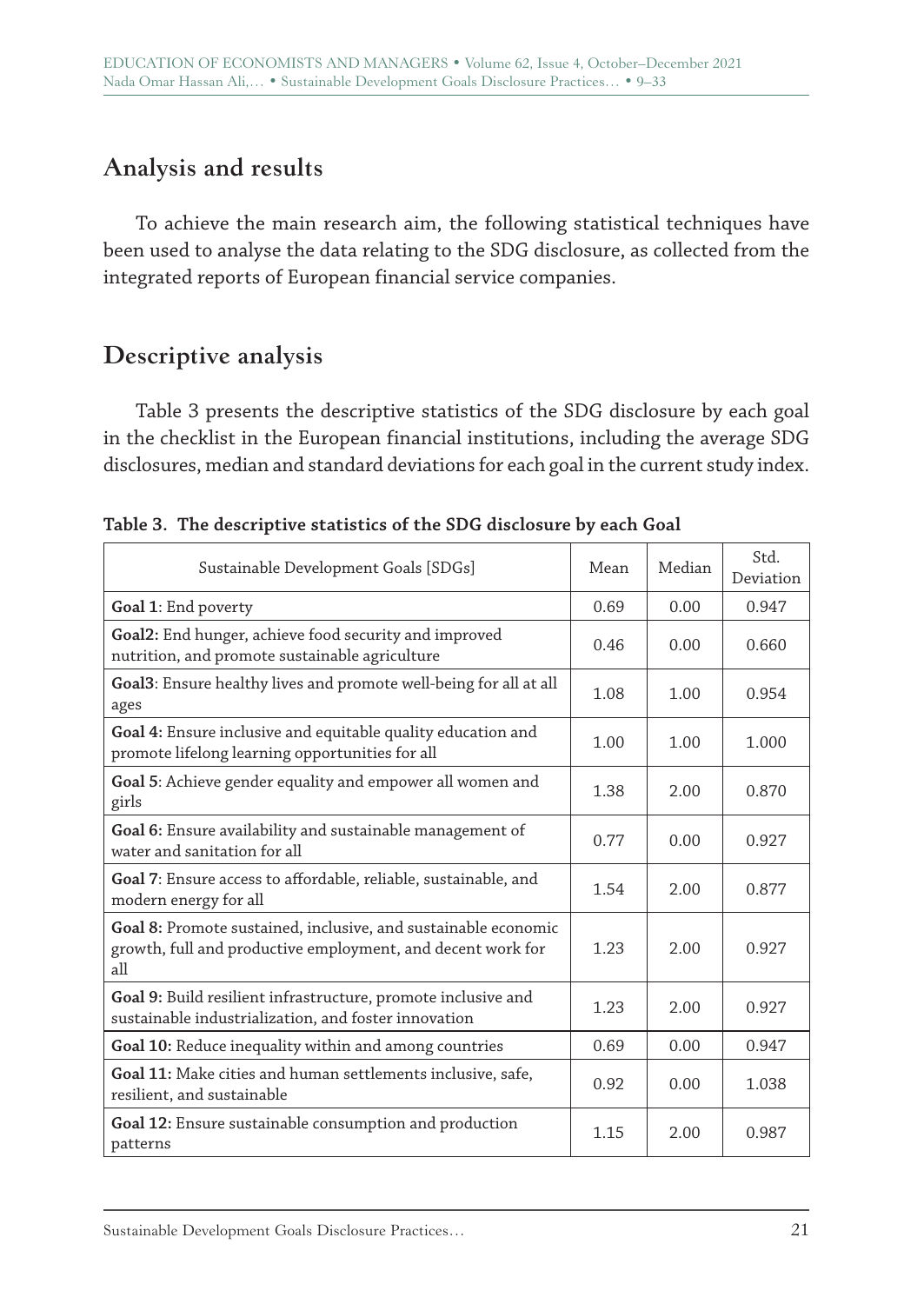# **Analysis and results**

To achieve the main research aim, the following statistical techniques have been used to analyse the data relating to the SDG disclosure, as collected from the integrated reports of European financial service companies.

# **Descriptive analysis**

Table 3 presents the descriptive statistics of the SDG disclosure by each goal in the checklist in the European financial institutions, including the average SDG disclosures, median and standard deviations for each goal in the current study index.

| Sustainable Development Goals [SDGs]                                                                                                 |      | Median | Std.<br>Deviation |
|--------------------------------------------------------------------------------------------------------------------------------------|------|--------|-------------------|
| Goal 1: End poverty                                                                                                                  | 0.69 | 0.00   | 0.947             |
| Goal2: End hunger, achieve food security and improved<br>nutrition, and promote sustainable agriculture                              | 0.46 | 0.00   | 0.660             |
| Goal3: Ensure healthy lives and promote well-being for all at all<br>ages                                                            | 1.08 | 1.00   | 0.954             |
| Goal 4: Ensure inclusive and equitable quality education and<br>promote lifelong learning opportunities for all                      | 1.00 | 1.00   | 1.000             |
| Goal 5: Achieve gender equality and empower all women and<br>girls                                                                   | 1.38 | 2.00   | 0.870             |
| Goal 6: Ensure availability and sustainable management of<br>water and sanitation for all                                            | 0.77 | 0.00   | 0.927             |
| <b>Goal 7:</b> Ensure access to affordable, reliable, sustainable, and<br>modern energy for all                                      | 1.54 | 2.00   | 0.877             |
| Goal 8: Promote sustained, inclusive, and sustainable economic<br>growth, full and productive employment, and decent work for<br>all | 1.23 | 2.00   | 0.927             |
| Goal 9: Build resilient infrastructure, promote inclusive and<br>sustainable industrialization, and foster innovation                | 1.23 | 2.00   | 0.927             |
| Goal 10: Reduce inequality within and among countries                                                                                | 0.69 | 0.00   | 0.947             |
| Goal 11: Make cities and human settlements inclusive, safe,<br>resilient, and sustainable                                            | 0.92 | 0.00   | 1.038             |
| Goal 12: Ensure sustainable consumption and production<br>patterns                                                                   | 1.15 | 2.00   | 0.987             |

**Table 3. The descriptive statistics of the SDG disclosure by each Goal**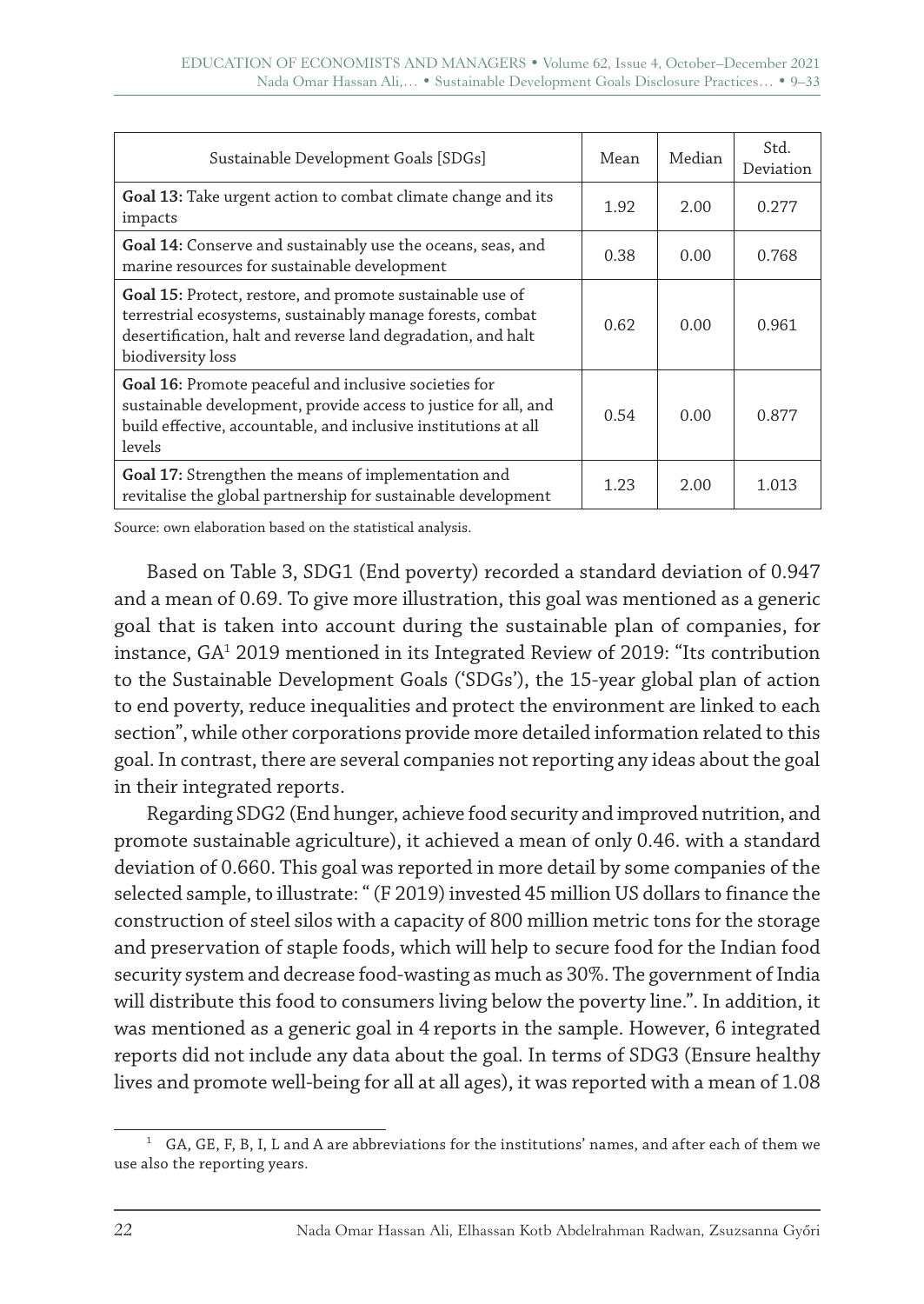| Sustainable Development Goals [SDGs]                                                                                                                                                                         |      | Median | Std.<br>Deviation |
|--------------------------------------------------------------------------------------------------------------------------------------------------------------------------------------------------------------|------|--------|-------------------|
| Goal 13: Take urgent action to combat climate change and its<br>impacts                                                                                                                                      | 1.92 | 2.00   | 0.277             |
| Goal 14: Conserve and sustainably use the oceans, seas, and<br>marine resources for sustainable development                                                                                                  | 0.38 | 0.00   | 0.768             |
| Goal 15: Protect, restore, and promote sustainable use of<br>terrestrial ecosystems, sustainably manage forests, combat<br>desertification, halt and reverse land degradation, and halt<br>biodiversity loss | 0.62 | 0.00   | 0.961             |
| Goal 16: Promote peaceful and inclusive societies for<br>sustainable development, provide access to justice for all, and<br>build effective, accountable, and inclusive institutions at all<br>levels        |      | 0.00   | 0.877             |
| Goal 17: Strengthen the means of implementation and<br>revitalise the global partnership for sustainable development                                                                                         | 1.23 | 2.00   | 1.013             |

Source: own elaboration based on the statistical analysis.

Based on Table 3, SDG1 (End poverty) recorded a standard deviation of 0.947 and a mean of 0.69. To give more illustration, this goal was mentioned as a generic goal that is taken into account during the sustainable plan of companies, for instance, GA1 2019 mentioned in its Integrated Review of 2019: "Its contribution to the Sustainable Development Goals ('SDGs'), the 15-year global plan of action to end poverty, reduce inequalities and protect the environment are linked to each section", while other corporations provide more detailed information related to this goal. In contrast, there are several companies not reporting any ideas about the goal in their integrated reports.

Regarding SDG2 (End hunger, achieve food security and improved nutrition, and promote sustainable agriculture), it achieved a mean of only 0.46. with a standard deviation of 0.660. This goal was reported in more detail by some companies of the selected sample, to illustrate: " (F 2019) invested 45 million US dollars to finance the construction of steel silos with a capacity of 800 million metric tons for the storage and preservation of staple foods, which will help to secure food for the Indian food security system and decrease food-wasting as much as 30%. The government of India will distribute this food to consumers living below the poverty line.". In addition, it was mentioned as a generic goal in 4 reports in the sample. However, 6 integrated reports did not include any data about the goal. In terms of SDG3 (Ensure healthy lives and promote well-being for all at all ages), it was reported with a mean of 1.08

 $1$  GA, GE, F, B, I, L and A are abbreviations for the institutions' names, and after each of them we use also the reporting years.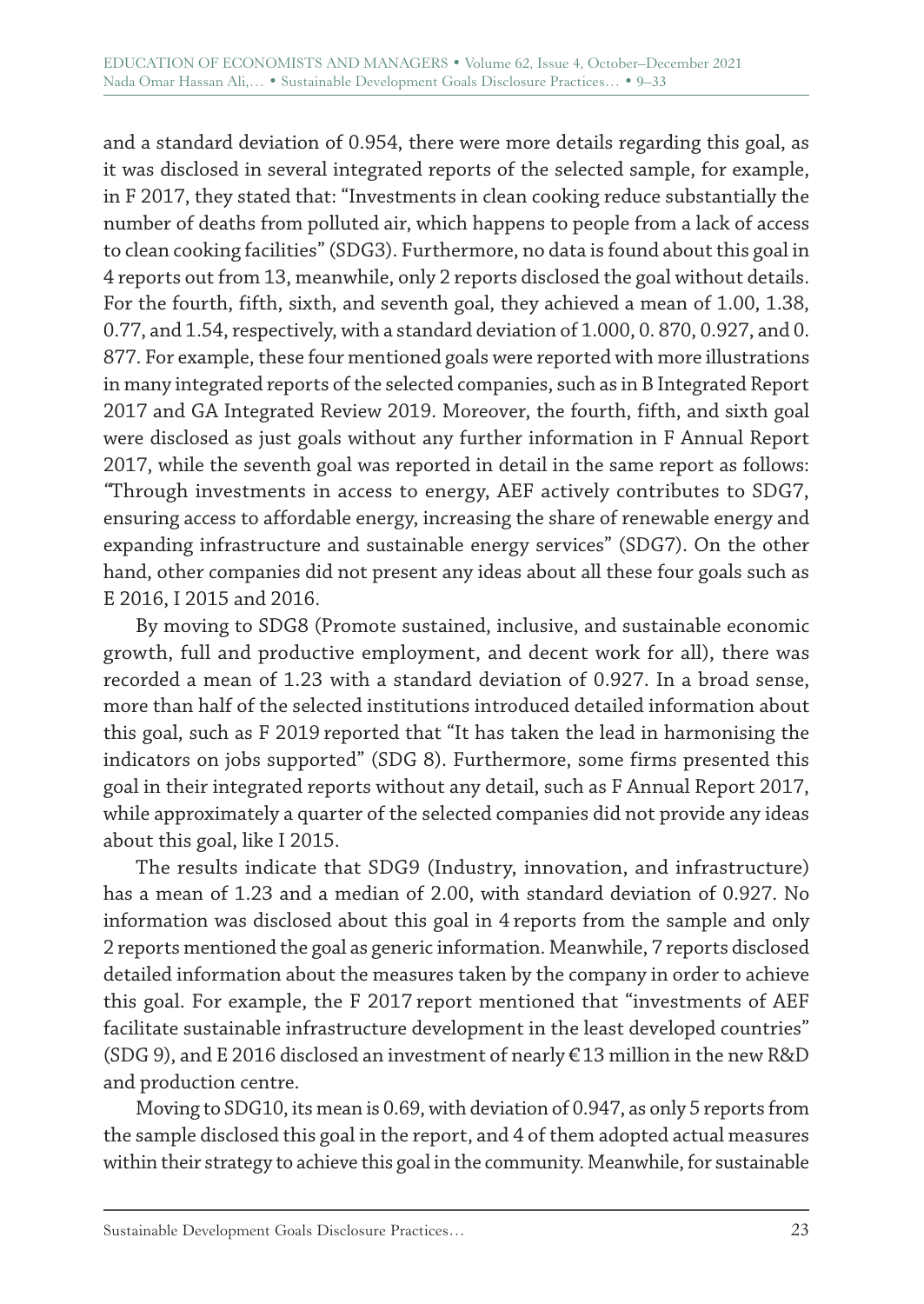and a standard deviation of 0.954, there were more details regarding this goal, as it was disclosed in several integrated reports of the selected sample, for example, in F 2017, they stated that: "Investments in clean cooking reduce substantially the number of deaths from polluted air, which happens to people from a lack of access to clean cooking facilities" (SDG3). Furthermore, no data is found about this goal in 4 reports out from 13, meanwhile, only 2 reports disclosed the goal without details. For the fourth, fifth, sixth, and seventh goal, they achieved a mean of 1.00, 1.38, 0.77, and 1.54, respectively, with a standard deviation of 1.000, 0. 870, 0.927, and 0. 877. For example, these four mentioned goals were reported with more illustrations in many integrated reports of the selected companies, such as in B Integrated Report 2017 and GA Integrated Review 2019. Moreover, the fourth, fifth, and sixth goal were disclosed as just goals without any further information in F Annual Report 2017, while the seventh goal was reported in detail in the same report as follows: *"*Through investments in access to energy, AEF actively contributes to SDG7, ensuring access to affordable energy, increasing the share of renewable energy and expanding infrastructure and sustainable energy services" (SDG7). On the other hand, other companies did not present any ideas about all these four goals such as E 2016, I 2015 and 2016.

By moving to SDG8 (Promote sustained, inclusive, and sustainable economic growth, full and productive employment, and decent work for all), there was recorded a mean of 1.23 with a standard deviation of 0.927. In a broad sense, more than half of the selected institutions introduced detailed information about this goal, such as F 2019 reported that "It has taken the lead in harmonising the indicators on jobs supported" (SDG 8). Furthermore, some firms presented this goal in their integrated reports without any detail, such as F Annual Report 2017, while approximately a quarter of the selected companies did not provide any ideas about this goal, like I 2015.

The results indicate that SDG9 (Industry, innovation, and infrastructure) has a mean of 1.23 and a median of 2.00, with standard deviation of 0.927. No information was disclosed about this goal in 4 reports from the sample and only 2 reports mentioned the goal as generic information. Meanwhile, 7 reports disclosed detailed information about the measures taken by the company in order to achieve this goal. For example, the F 2017 report mentioned that "investments of AEF facilitate sustainable infrastructure development in the least developed countries" (SDG 9), and E 2016 disclosed an investment of nearly €13 million in the new R&D and production centre.

Moving to SDG10, its mean is 0.69, with deviation of 0.947, as only 5 reports from the sample disclosed this goal in the report, and 4 of them adopted actual measures within their strategy to achieve this goal in the community. Meanwhile, for sustainable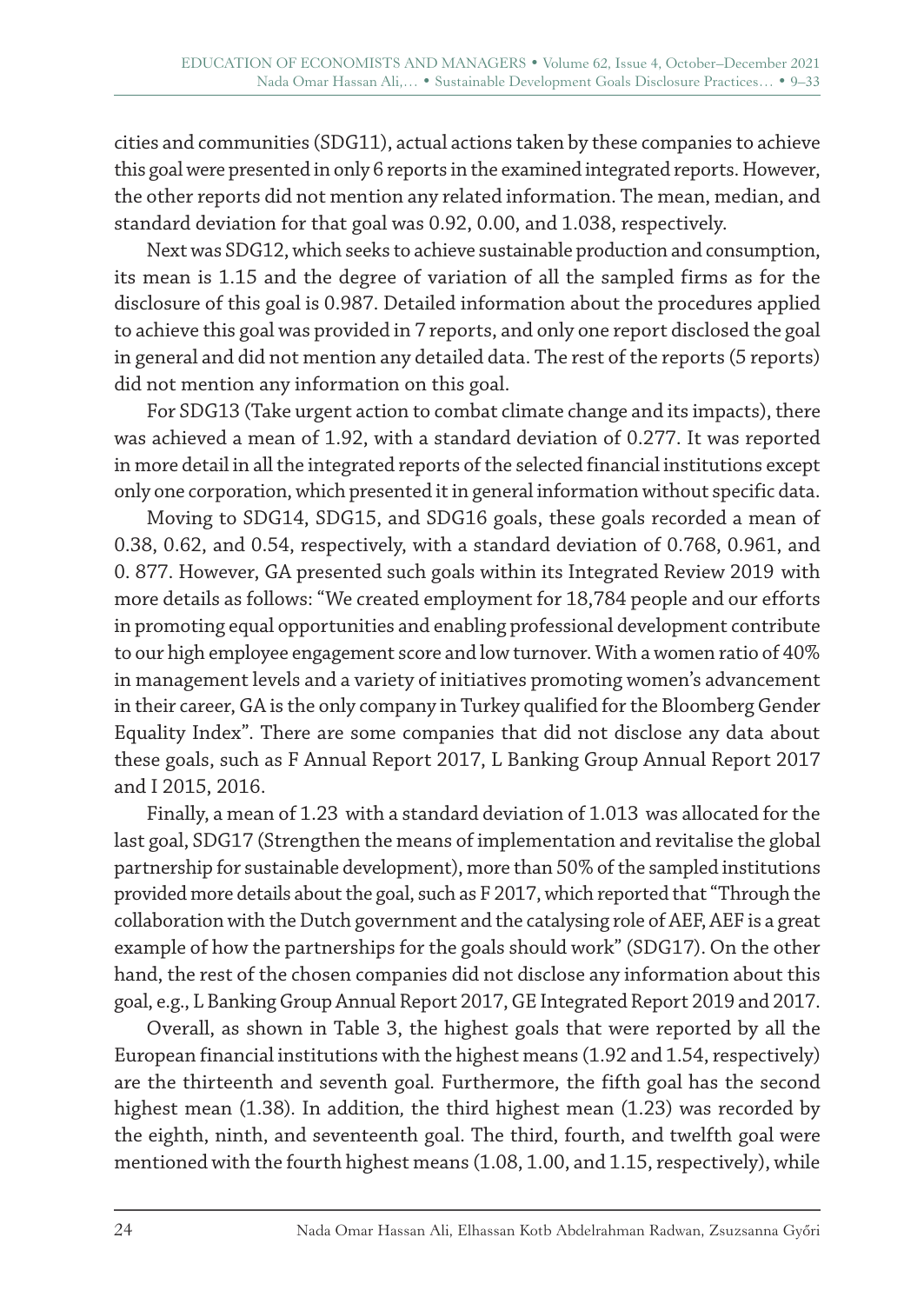cities and communities (SDG11), actual actions taken by these companies to achieve this goal were presented in only 6 reports in the examined integrated reports. However, the other reports did not mention any related information. The mean, median, and standard deviation for that goal was 0.92, 0.00, and 1.038, respectively.

Next was SDG12, which seeks to achieve sustainable production and consumption, its mean is 1.15 and the degree of variation of all the sampled firms as for the disclosure of this goal is 0.987. Detailed information about the procedures applied to achieve this goal was provided in 7 reports, and only one report disclosed the goal in general and did not mention any detailed data. The rest of the reports (5 reports) did not mention any information on this goal.

For SDG13 (Take urgent action to combat climate change and its impacts), there was achieved a mean of 1.92, with a standard deviation of 0.277. It was reported in more detail in all the integrated reports of the selected financial institutions except only one corporation, which presented it in general information without specific data.

Moving to SDG14, SDG15, and SDG16 goals, these goals recorded a mean of 0.38, 0.62, and 0.54, respectively, with a standard deviation of 0.768, 0.961, and 0. 877. However, GA presented such goals within its Integrated Review 2019 with more details as follows: "We created employment for 18,784 people and our efforts in promoting equal opportunities and enabling professional development contribute to our high employee engagement score and low turnover. With a women ratio of 40% in management levels and a variety of initiatives promoting women's advancement in their career, GA is the only company in Turkey qualified for the Bloomberg Gender Equality Index". There are some companies that did not disclose any data about these goals, such as F Annual Report 2017, L Banking Group Annual Report 2017 and I 2015, 2016.

Finally, a mean of 1.23 with a standard deviation of 1.013 was allocated for the last goal, SDG17 (Strengthen the means of implementation and revitalise the global partnership for sustainable development), more than 50% of the sampled institutions provided more details about the goal, such as F 2017, which reported that "Through the collaboration with the Dutch government and the catalysing role of AEF, AEF is a great example of how the partnerships for the goals should work" (SDG17). On the other hand, the rest of the chosen companies did not disclose any information about this goal, e.g., L Banking Group Annual Report 2017, GE Integrated Report 2019 and 2017.

Overall, as shown in Table 3, the highest goals that were reported by all the European financial institutions with the highest means (1.92 and 1.54, respectively) are the thirteenth and seventh goal*.* Furthermore, the fifth goal has the second highest mean (1.38)*.* In addition*,* the third highest mean (1.23) was recorded by the eighth, ninth, and seventeenth goal. The third, fourth, and twelfth goal were mentioned with the fourth highest means (1.08, 1.00, and 1.15, respectively), while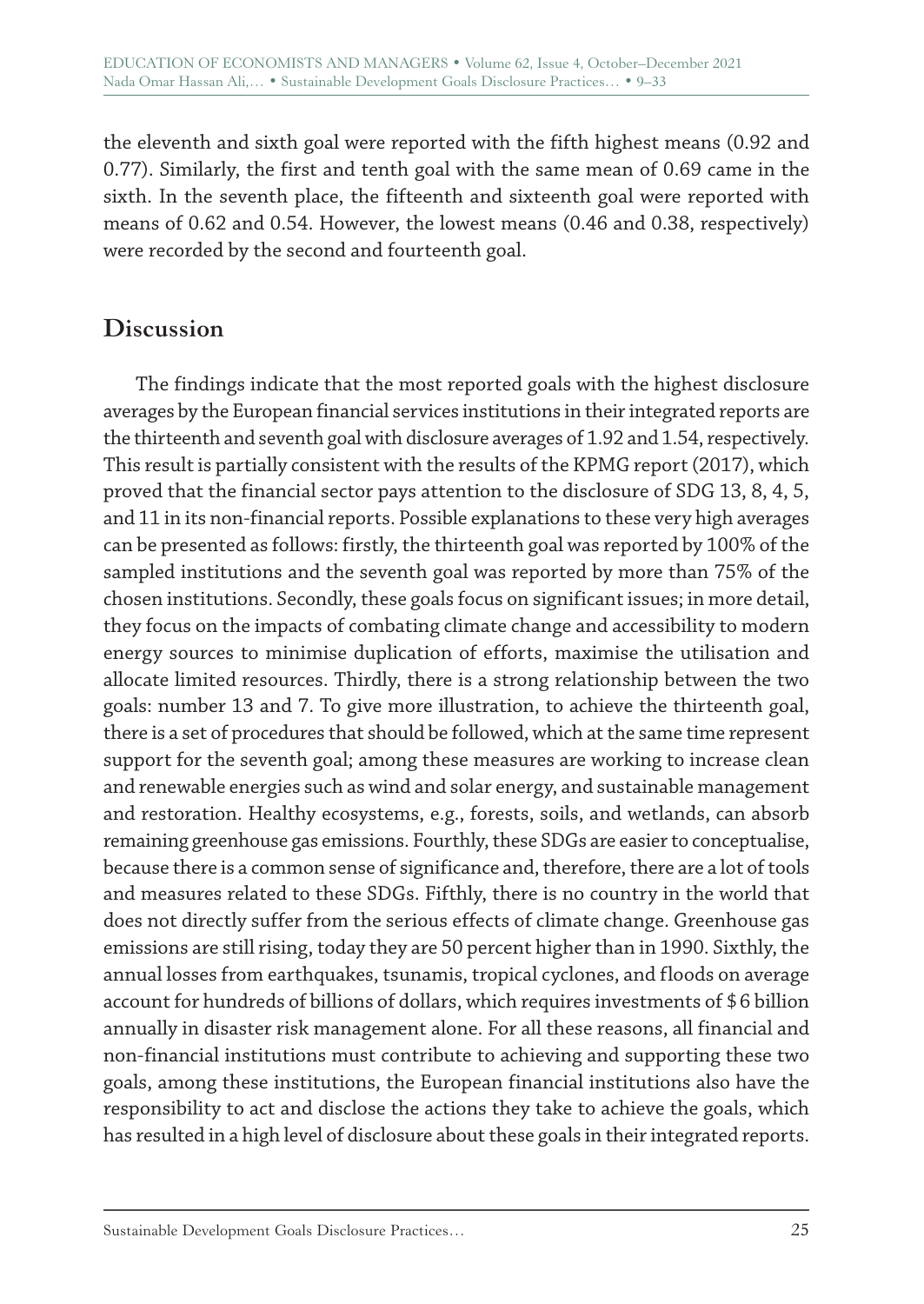the eleventh and sixth goal were reported with the fifth highest means (0.92 and 0.77). Similarly, the first and tenth goal with the same mean of 0.69 came in the sixth. In the seventh place, the fifteenth and sixteenth goal were reported with means of 0.62 and 0.54. However, the lowest means (0.46 and 0.38, respectively) were recorded by the second and fourteenth goal.

# **Discussion**

The findings indicate that the most reported goals with the highest disclosure averages by the European financial services institutions in their integrated reports are the thirteenth and seventh goal with disclosure averages of 1.92 and 1.54, respectively. This result is partially consistent with the results of the KPMG report (2017), which proved that the financial sector pays attention to the disclosure of SDG 13, 8, 4, 5, and 11 in its non-financial reports. Possible explanations to these very high averages can be presented as follows: firstly, the thirteenth goal was reported by 100% of the sampled institutions and the seventh goal was reported by more than 75% of the chosen institutions. Secondly, these goals focus on significant issues; in more detail, they focus on the impacts of combating climate change and accessibility to modern energy sources to minimise duplication of efforts, maximise the utilisation and allocate limited resources. Thirdly, there is a strong relationship between the two goals: number 13 and 7. To give more illustration, to achieve the thirteenth goal, there is a set of procedures that should be followed, which at the same time represent support for the seventh goal; among these measures are working to increase clean and renewable energies such as wind and solar energy, and sustainable management and restoration. Healthy ecosystems, e.g., forests, soils, and wetlands, can absorb remaining greenhouse gas emissions. Fourthly, these SDGs are easier to conceptualise, because there is a common sense of significance and, therefore, there are a lot of tools and measures related to these SDGs. Fifthly, there is no country in the world that does not directly suffer from the serious effects of climate change. Greenhouse gas emissions are still rising, today they are 50 percent higher than in 1990. Sixthly, the annual losses from earthquakes, tsunamis, tropical cyclones, and floods on average account for hundreds of billions of dollars, which requires investments of \$6 billion annually in disaster risk management alone. For all these reasons, all financial and non-financial institutions must contribute to achieving and supporting these two goals, among these institutions, the European financial institutions also have the responsibility to act and disclose the actions they take to achieve the goals, which has resulted in a high level of disclosure about these goals in their integrated reports.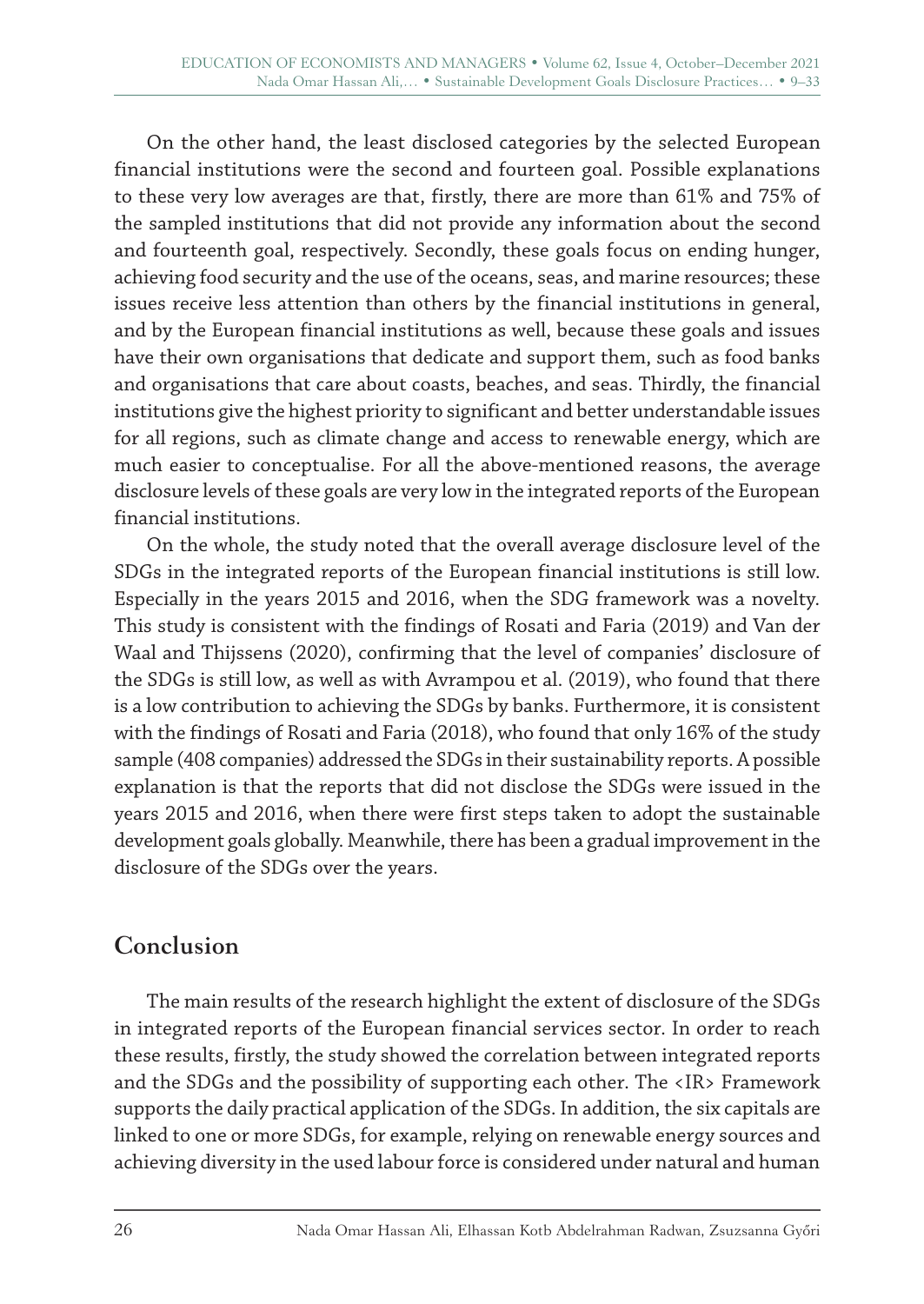On the other hand, the least disclosed categories by the selected European financial institutions were the second and fourteen goal. Possible explanations to these very low averages are that, firstly, there are more than 61% and 75% of the sampled institutions that did not provide any information about the second and fourteenth goal, respectively. Secondly, these goals focus on ending hunger, achieving food security and the use of the oceans, seas, and marine resources; these issues receive less attention than others by the financial institutions in general, and by the European financial institutions as well, because these goals and issues have their own organisations that dedicate and support them, such as food banks and organisations that care about coasts, beaches, and seas. Thirdly, the financial institutions give the highest priority to significant and better understandable issues for all regions, such as climate change and access to renewable energy, which are much easier to conceptualise. For all the above-mentioned reasons, the average disclosure levels of these goals are very low in the integrated reports of the European financial institutions.

On the whole, the study noted that the overall average disclosure level of the SDGs in the integrated reports of the European financial institutions is still low. Especially in the years 2015 and 2016, when the SDG framework was a novelty. This study is consistent with the findings of Rosati and Faria (2019) and Van der Waal and Thijssens (2020), confirming that the level of companies' disclosure of the SDGs is still low, as well as with Avrampou et al. (2019), who found that there is a low contribution to achieving the SDGs by banks. Furthermore, it is consistent with the findings of Rosati and Faria (2018), who found that only 16% of the study sample (408 companies) addressed the SDGs in their sustainability reports. A possible explanation is that the reports that did not disclose the SDGs were issued in the years 2015 and 2016, when there were first steps taken to adopt the sustainable development goals globally. Meanwhile, there has been a gradual improvement in the disclosure of the SDGs over the years.

# **Conclusion**

The main results of the research highlight the extent of disclosure of the SDGs in integrated reports of the European financial services sector. In order to reach these results, firstly, the study showed the correlation between integrated reports and the SDGs and the possibility of supporting each other. The <IR> Framework supports the daily practical application of the SDGs. In addition, the six capitals are linked to one or more SDGs, for example, relying on renewable energy sources and achieving diversity in the used labour force is considered under natural and human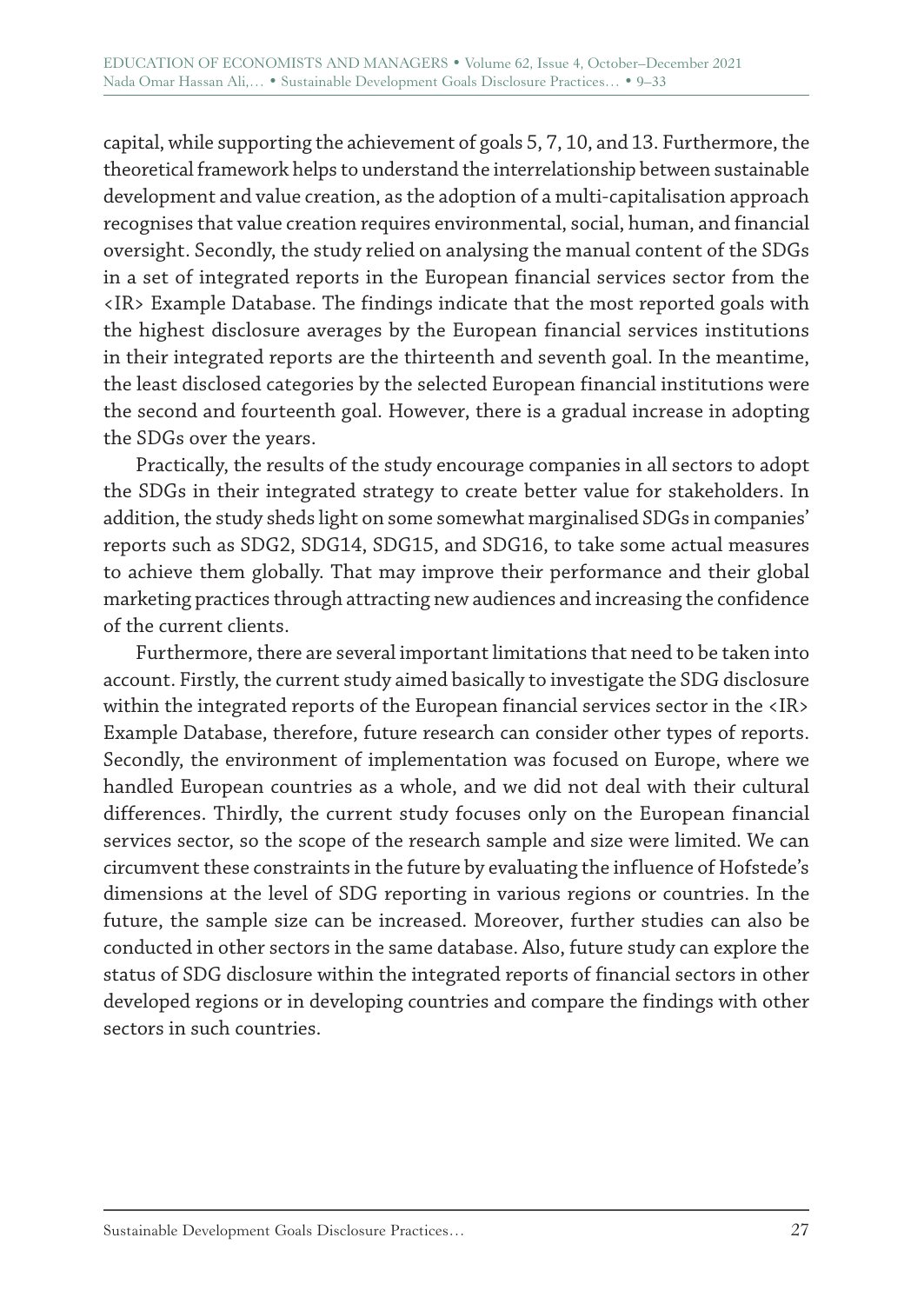capital, while supporting the achievement of goals 5, 7, 10, and 13. Furthermore, the theoretical framework helps to understand the interrelationship between sustainable development and value creation, as the adoption of a multi-capitalisation approach recognises that value creation requires environmental, social, human, and financial oversight. Secondly, the study relied on analysing the manual content of the SDGs in a set of integrated reports in the European financial services sector from the <IR> Example Database. The findings indicate that the most reported goals with the highest disclosure averages by the European financial services institutions in their integrated reports are the thirteenth and seventh goal. In the meantime, the least disclosed categories by the selected European financial institutions were the second and fourteenth goal. However, there is a gradual increase in adopting the SDGs over the years.

Practically, the results of the study encourage companies in all sectors to adopt the SDGs in their integrated strategy to create better value for stakeholders. In addition, the study sheds light on some somewhat marginalised SDGs in companies' reports such as SDG2, SDG14, SDG15, and SDG16, to take some actual measures to achieve them globally. That may improve their performance and their global marketing practices through attracting new audiences and increasing the confidence of the current clients.

Furthermore, there are several important limitations that need to be taken into account. Firstly, the current study aimed basically to investigate the SDG disclosure within the integrated reports of the European financial services sector in the <IR> Example Database, therefore, future research can consider other types of reports. Secondly, the environment of implementation was focused on Europe, where we handled European countries as a whole, and we did not deal with their cultural differences. Thirdly, the current study focuses only on the European financial services sector, so the scope of the research sample and size were limited. We can circumvent these constraints in the future by evaluating the influence of Hofstede's dimensions at the level of SDG reporting in various regions or countries. In the future, the sample size can be increased. Moreover, further studies can also be conducted in other sectors in the same database. Also, future study can explore the status of SDG disclosure within the integrated reports of financial sectors in other developed regions or in developing countries and compare the findings with other sectors in such countries.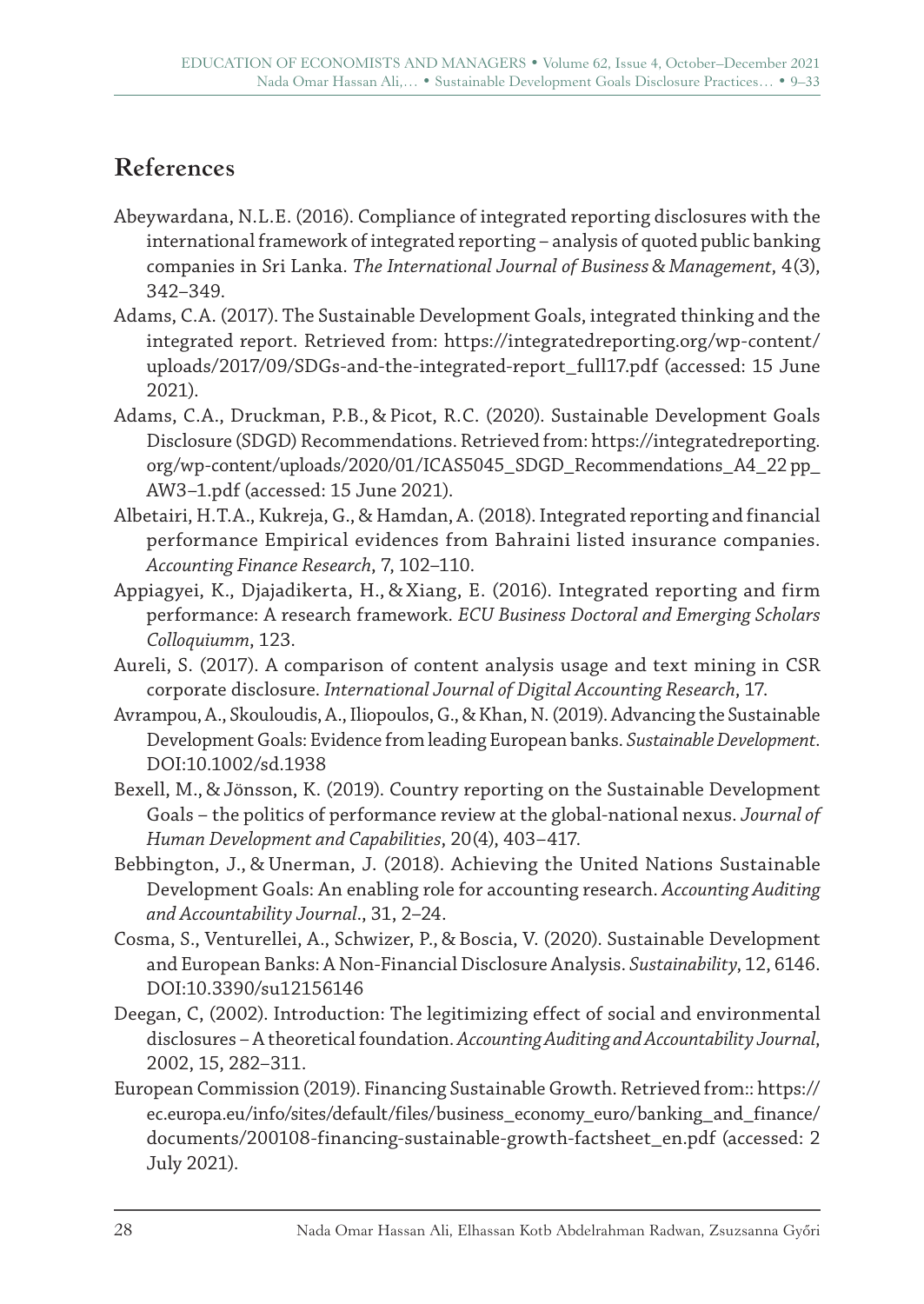# **References**

- Abeywardana, N.L.E. (2016). Compliance of integrated reporting disclosures with the international framework of integrated reporting – analysis of quoted public banking companies in Sri Lanka. *The International Journal of Business & Management*, 4(3), 342–349.
- Adams, C.A. (2017). The Sustainable Development Goals, integrated thinking and the integrated report. Retrieved from: https://integratedreporting.org/wp-content/ uploads/2017/09/SDGs-and-the-integrated-report\_full17.pdf (accessed: 15 June 2021).
- Adams, C.A., Druckman, P.B., & Picot, R.C. (2020). Sustainable Development Goals Disclosure (SDGD) Recommendations. Retrieved from: https://integratedreporting. org/wp-content/uploads/2020/01/ICAS5045\_SDGD\_Recommendations\_A4\_22 pp\_ AW3–1.pdf (accessed: 15 June 2021).
- Albetairi, H.T.A., Kukreja, G., & Hamdan, A. (2018). Integrated reporting and financial performance Empirical evidences from Bahraini listed insurance companies. *Accounting Finance Research*, 7, 102–110.
- Appiagyei, K., Djajadikerta, H., & Xiang, E. (2016). Integrated reporting and firm performance: A research framework*. ECU Business Doctoral and Emerging Scholars Colloquiumm*, 123.
- Aureli, S. (2017). A comparison of content analysis usage and text mining in CSR corporate disclosure. *International Journal of Digital Accounting Research*, 17.
- Avrampou, A., Skouloudis, A., Iliopoulos, G., & Khan, N. (2019). Advancing the Sustainable Development Goals: Evidence from leading European banks. *Sustainable Development*. DOI:10.1002/sd.1938
- Bexell, M., & Jönsson, K. (2019). Country reporting on the Sustainable Development Goals – the politics of performance review at the global-national nexus. *Journal of Human Development and Capabilities*, 20(4), 403–417.
- Bebbington, J., & Unerman, J. (2018). Achieving the United Nations Sustainable Development Goals: An enabling role for accounting research. *Accounting Auditing and Accountability Journal*., 31, 2–24.
- Cosma, S., Venturellei, A., Schwizer, P., & Boscia, V. (2020). Sustainable Development and European Banks: A Non-Financial Disclosure Analysis. *Sustainability*, 12, 6146. DOI:10.3390/su12156146
- Deegan, C, (2002). Introduction: The legitimizing effect of social and environmental disclosures – A theoretical foundation. *Accounting Auditing and Accountability Journal*, 2002, 15, 282–311.
- European Commission (2019). Financing Sustainable Growth. Retrieved from:: https:// ec.europa.eu/info/sites/default/files/business\_economy\_euro/banking\_and\_finance/ documents/200108-financing-sustainable-growth-factsheet\_en.pdf (accessed: 2 July 2021).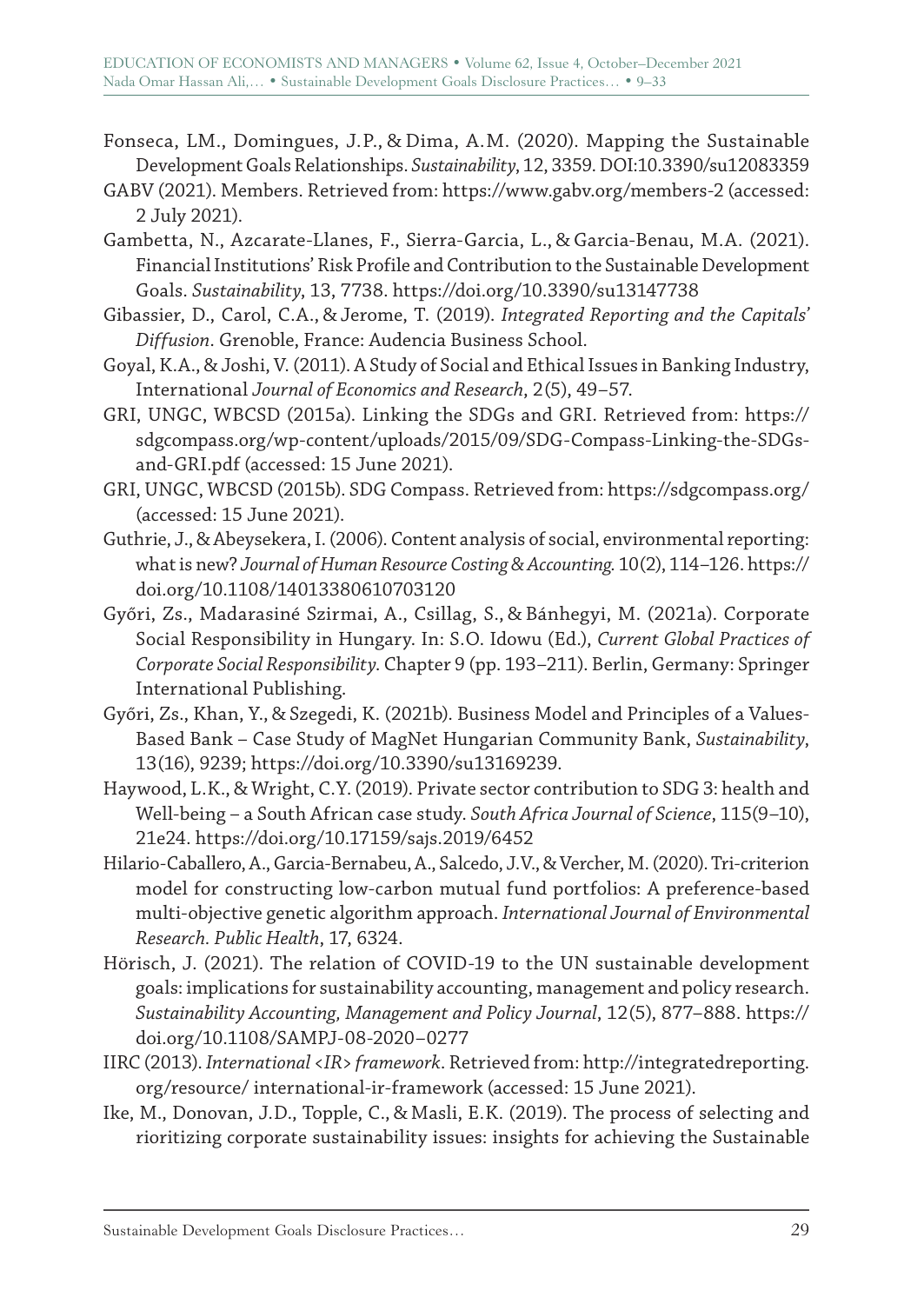- Fonseca, LM., Domingues, J.P., & Dima, A.M. (2020). Mapping the Sustainable Development Goals Relationships. *Sustainability*, 12, 3359. DOI:10.3390/su12083359
- GABV (2021). Members. Retrieved from: https://www.gabv.org/members-2 (accessed: 2 July 2021).
- Gambetta, N., Azcarate-Llanes, F., Sierra-Garcia, L., & Garcia-Benau, M.A. (2021). Financial Institutions' Risk Profile and Contribution to the Sustainable Development Goals. *Sustainability*, 13, 7738. https://doi.org/10.3390/su13147738
- Gibassier, D., Carol, C.A., & Jerome, T. (2019). *Integrated Reporting and the Capitals' Diffusion*. Grenoble, France: Audencia Business School.
- Goyal, K.A., & Joshi, V. (2011). A Study of Social and Ethical Issues in Banking Industry, International *Journal of Economics and Research*, 2(5), 49–57.
- GRI, UNGC, WBCSD (2015a). Linking the SDGs and GRI. Retrieved from: https:// sdgcompass.org/wp-content/uploads/2015/09/SDG-Compass-Linking-the-SDGsand-GRI.pdf (accessed: 15 June 2021).
- GRI, UNGC, WBCSD (2015b). SDG Compass. Retrieved from: https://sdgcompass.org/ (accessed: 15 June 2021).
- Guthrie, J., & Abeysekera, I. (2006). Content analysis of social, environmental reporting: what is new? *Journal of Human Resource Costing&Accounting.* 10(2), 114–126. https:// doi.org/10.1108/14013380610703120
- Győri, Zs., Madarasiné Szirmai, A., Csillag, S., & Bánhegyi, M. (2021a). Corporate Social Responsibility in Hungary. In: S.O. Idowu (Ed.), *Current Global Practices of Corporate Social Responsibility*. Chapter 9 (pp. 193–211). Berlin, Germany: Springer International Publishing.
- Győri, Zs., Khan, Y., & Szegedi, K. (2021b). Business Model and Principles of a Values-Based Bank – Case Study of MagNet Hungarian Community Bank, *Sustainability*, 13(16), 9239; https://doi.org/10.3390/su13169239.
- Haywood, L.K., & Wright, C.Y. (2019). Private sector contribution to SDG 3: health and Well-being – a South African case study. *South Africa Journal of Science*, 115(9–10), 21e24. https://doi.org/10.17159/sajs.2019/6452
- Hilario-Caballero, A., Garcia-Bernabeu, A., Salcedo, J.V., & Vercher, M. (2020). Tri-criterion model for constructing low-carbon mutual fund portfolios: A preference-based multi-objective genetic algorithm approach. *International Journal of Environmental Research. Public Health*, 17, 6324.
- Hörisch, J. (2021). The relation of COVID-19 to the UN sustainable development goals: implications for sustainability accounting, management and policy research. *Sustainability Accounting, Management and Policy Journal*, 12(5), 877–888. https:// doi.org/10.1108/SAMPJ-08-2020–0277
- IIRC (2013). *International <IR> framework*. Retrieved from: http://integratedreporting. org/resource/ international-ir-framework (accessed: 15 June 2021).
- Ike, M., Donovan, J.D., Topple, C., & Masli, E.K. (2019). The process of selecting and rioritizing corporate sustainability issues: insights for achieving the Sustainable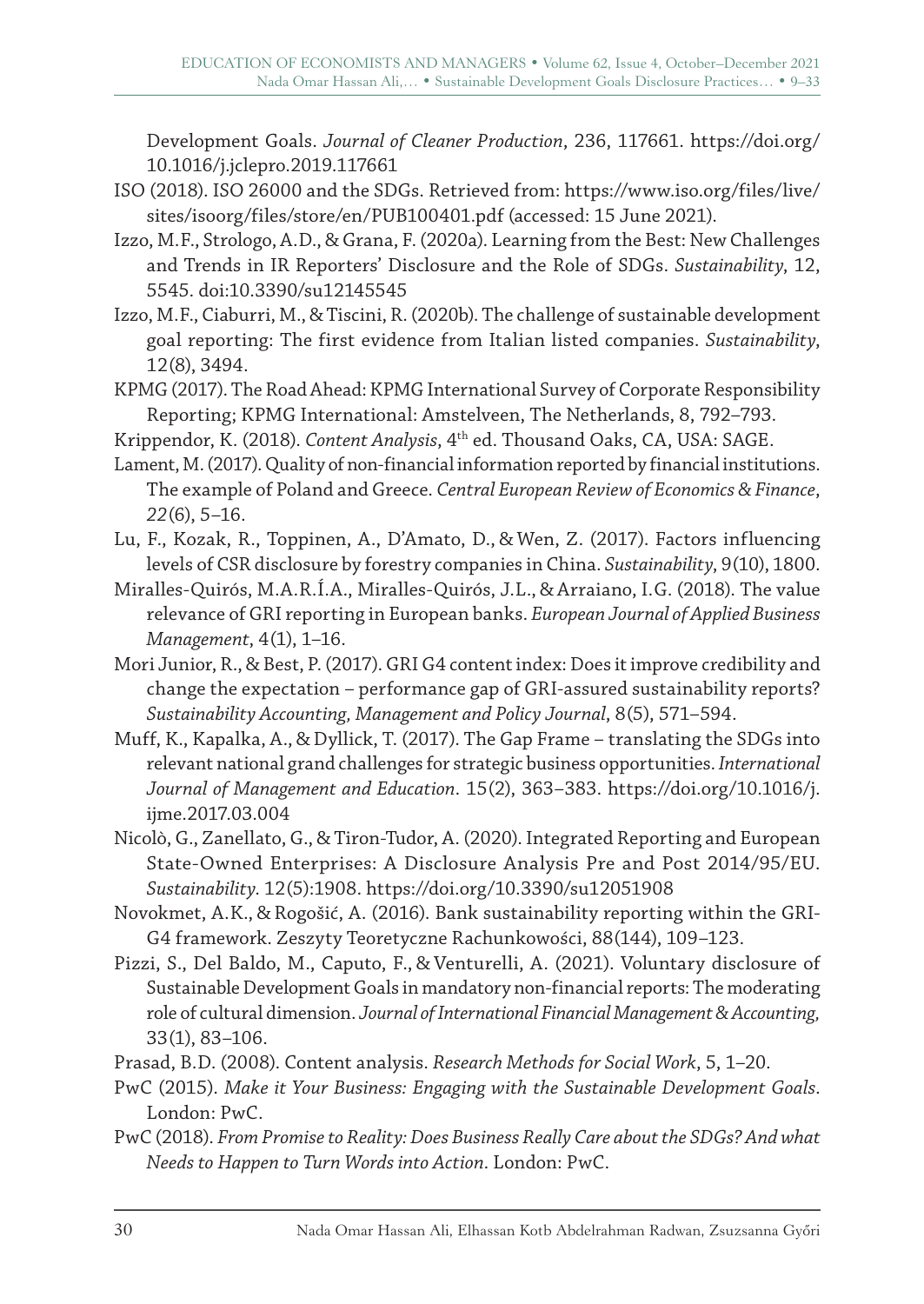Development Goals. *Journal of Cleaner Production*, 236, 117661. https://doi.org/ 10.1016/j.jclepro.2019.117661

- ISO (2018). ISO 26000 and the SDGs. Retrieved from: https://www.iso.org/files/live/ sites/isoorg/files/store/en/PUB100401.pdf (accessed: 15 June 2021).
- Izzo, M.F., Strologo, A.D., & Grana, F. (2020a). Learning from the Best: New Challenges and Trends in IR Reporters' Disclosure and the Role of SDGs. *Sustainability*, 12, 5545. doi:10.3390/su12145545
- Izzo, M.F., Ciaburri, M., & Tiscini, R. (2020b). The challenge of sustainable development goal reporting: The first evidence from Italian listed companies. *Sustainability*, 12(8), 3494.
- KPMG (2017). The Road Ahead: KPMG International Survey of Corporate Responsibility Reporting; KPMG International: Amstelveen, The Netherlands, 8, 792–793.
- Krippendor, K. (2018). *Content Analysis*, 4th ed. Thousand Oaks, CA, USA: SAGE.
- Lament, M. (2017). Quality of non-financial information reported by financial institutions. The example of Poland and Greece. *Central European Review of Economics &Finance*, *22*(6), 5–16.
- Lu, F., Kozak, R., Toppinen, A., D'Amato, D., & Wen, Z. (2017). Factors influencing levels of CSR disclosure by forestry companies in China. *Sustainability*, 9(10), 1800.
- Miralles-Quirós, M.A.R.Í.A., Miralles-Quirós, J.L., & Arraiano, I.G. (2018). The value relevance of GRI reporting in European banks. *European Journal of Applied Business Management*, 4(1), 1–16.
- Mori Junior, R., & Best, P. (2017). GRI G4 content index: Does it improve credibility and change the expectation – performance gap of GRI-assured sustainability reports? *Sustainability Accounting, Management and Policy Journal*, 8(5), 571–594.
- Muff, K., Kapalka, A., & Dyllick, T. (2017). The Gap Frame translating the SDGs into relevant national grand challenges for strategic business opportunities. *International Journal of Management and Education*. 15(2), 363–383. https://doi.org/10.1016/j. ijme.2017.03.004
- Nicolò, G., Zanellato, G., & Tiron-Tudor, A. (2020). Integrated Reporting and European State-Owned Enterprises: A Disclosure Analysis Pre and Post 2014/95/EU. *Sustainability*. 12(5):1908. https://doi.org/10.3390/su12051908
- Novokmet, A.K., & Rogošić, A. (2016). Bank sustainability reporting within the GRI-G4 framework. Zeszyty Teoretyczne Rachunkowości, 88(144), 109–123.
- Pizzi, S., Del Baldo, M., Caputo, F., & Venturelli, A. (2021). Voluntary disclosure of Sustainable Development Goals in mandatory non‐financial reports: The moderating role of cultural dimension. *Journal of International Financial Management&Accounting,*  33(1), 83–106.
- Prasad, B.D. (2008). Content analysis. *Research Methods for Social Work*, 5, 1–20.
- PwC (2015). *Make it Your Business: Engaging with the Sustainable Development Goals*. London: PwC.
- PwC (2018). *From Promise to Reality: Does Business Really Care about the SDGs? And what Needs to Happen to Turn Words into Action*. London: PwC.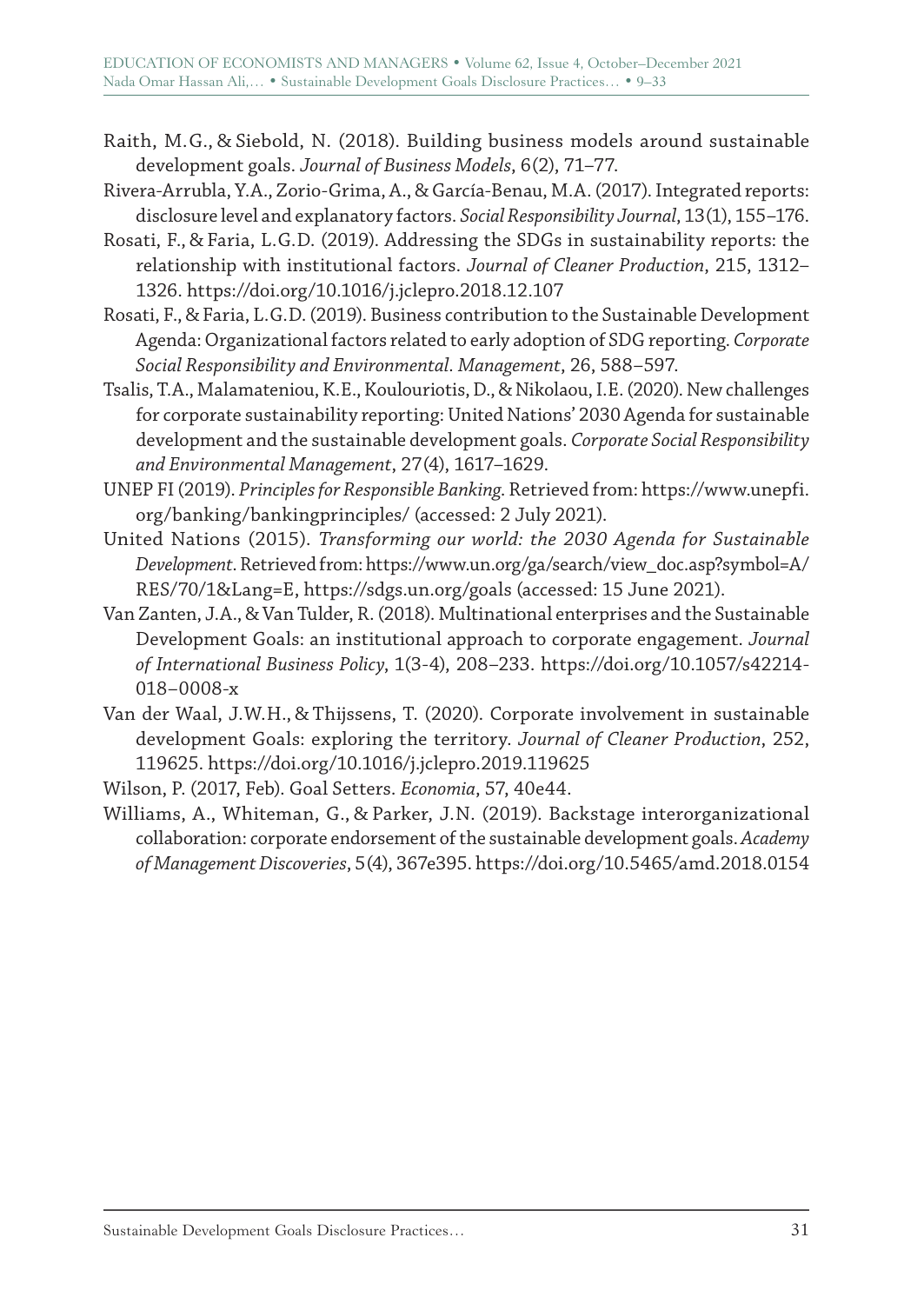- Raith, M.G., & Siebold, N. (2018). Building business models around sustainable development goals. *Journal of Business Models*, 6(2), 71–77.
- Rivera-Arrubla, Y.A., Zorio-Grima, A., & García-Benau, M.A. (2017). Integrated reports: disclosure level and explanatory factors. *Social Responsibility Journal*, 13(1), 155–176.
- Rosati, F., & Faria, L.G.D. (2019). Addressing the SDGs in sustainability reports: the relationship with institutional factors. *Journal of Cleaner Production*, 215, 1312– 1326. https://doi.org/10.1016/j.jclepro.2018.12.107
- Rosati, F., & Faria, L.G.D. (2019). Business contribution to the Sustainable Development Agenda: Organizational factors related to early adoption of SDG reporting. *Corporate Social Responsibility and Environmental. Management*, 26, 588–597.
- Tsalis, T.A., Malamateniou, K.E., Koulouriotis, D., & Nikolaou, I.E. (2020). New challenges for corporate sustainability reporting: United Nations' 2030 Agenda for sustainable development and the sustainable development goals. *Corporate Social Responsibility and Environmental Management*, 27(4), 1617–1629.
- UNEP FI (2019). *Principles for Responsible Banking*. Retrieved from: https://www.unepfi. org/banking/bankingprinciples/ (accessed: 2 July 2021).
- United Nations (2015). *Transforming our world: the 2030 Agenda for Sustainable Development*. Retrieved from: https://www.un.org/ga/search/view\_doc.asp?symbol=A/ RES/70/1&Lang=E, https://sdgs.un.org/goals (accessed: 15 June 2021).
- Van Zanten, J.A., & Van Tulder, R. (2018). Multinational enterprises and the Sustainable Development Goals: an institutional approach to corporate engagement. *Journal of International Business Policy*, 1(3-4), 208–233. https://doi.org/10.1057/s42214- 018–0008-x
- Van der Waal, J.W.H., & Thijssens, T. (2020). Corporate involvement in sustainable development Goals: exploring the territory. *Journal of Cleaner Production*, 252, 119625. https://doi.org/10.1016/j.jclepro.2019.119625

Wilson, P. (2017, Feb). Goal Setters. *Economia*, 57, 40e44.

Williams, A., Whiteman, G., & Parker, J.N. (2019). Backstage interorganizational collaboration: corporate endorsement of the sustainable development goals. *Academy of Management Discoveries*, 5(4), 367e395. https://doi.org/10.5465/amd.2018.0154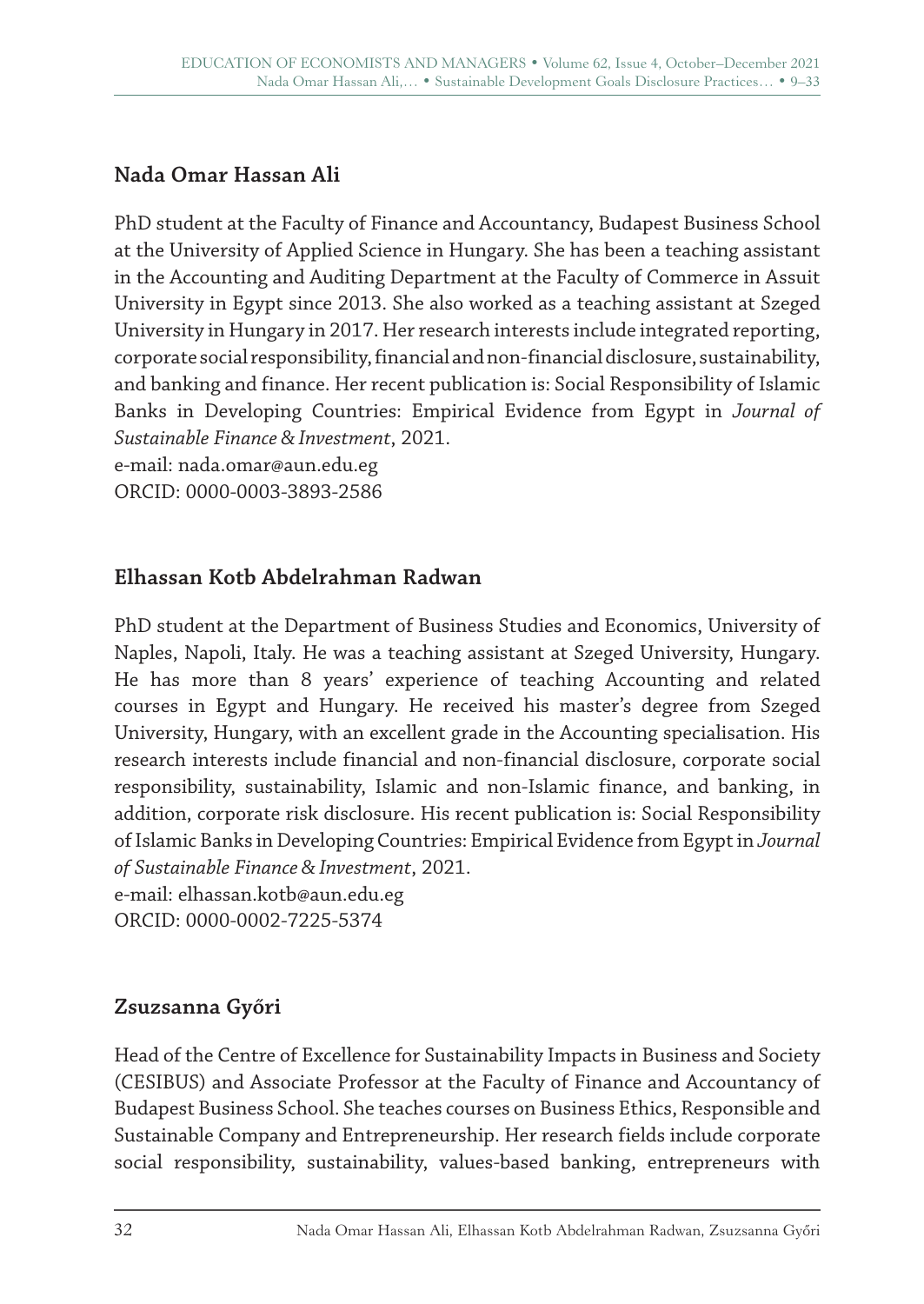# **Nada Omar Hassan Ali**

PhD student at the Faculty of Finance and Accountancy, Budapest Business School at the University of Applied Science in Hungary. She has been a teaching assistant in the Accounting and Auditing Department at the Faculty of Commerce in Assuit University in Egypt since 2013. She also worked as a teaching assistant at Szeged University in Hungary in 2017. Her research interests include integrated reporting, corporate social responsibility, financial and non-financial disclosure, sustainability, and banking and finance. Her recent publication is: Social Responsibility of Islamic Banks in Developing Countries: Empirical Evidence from Egypt in *Journal of Sustainable Finance&Investment*, 2021.

e-mail: nada.omar@aun.edu.eg ORCID: 0000-0003-3893-2586

### **Elhassan Kotb Abdelrahman Radwan**

PhD student at the Department of Business Studies and Economics, University of Naples, Napoli, Italy. He was a teaching assistant at Szeged University, Hungary. He has more than 8 years' experience of teaching Accounting and related courses in Egypt and Hungary. He received his master's degree from Szeged University, Hungary, with an excellent grade in the Accounting specialisation. His research interests include financial and non-financial disclosure, corporate social responsibility, sustainability, Islamic and non-Islamic finance, and banking, in addition, corporate risk disclosure. His recent publication is: Social Responsibility of Islamic Banks in Developing Countries: Empirical Evidence from Egypt in *Journal of Sustainable Finance&Investment*, 2021.

e-mail: elhassan.kotb@aun.edu.eg ORCID: 0000-0002-7225-5374

### **Zsuzsanna Győri**

Head of the Centre of Excellence for Sustainability Impacts in Business and Society (CESIBUS) and Associate Professor at the Faculty of Finance and Accountancy of Budapest Business School. She teaches courses on Business Ethics, Responsible and Sustainable Company and Entrepreneurship. Her research fields include corporate social responsibility, sustainability, values-based banking, entrepreneurs with